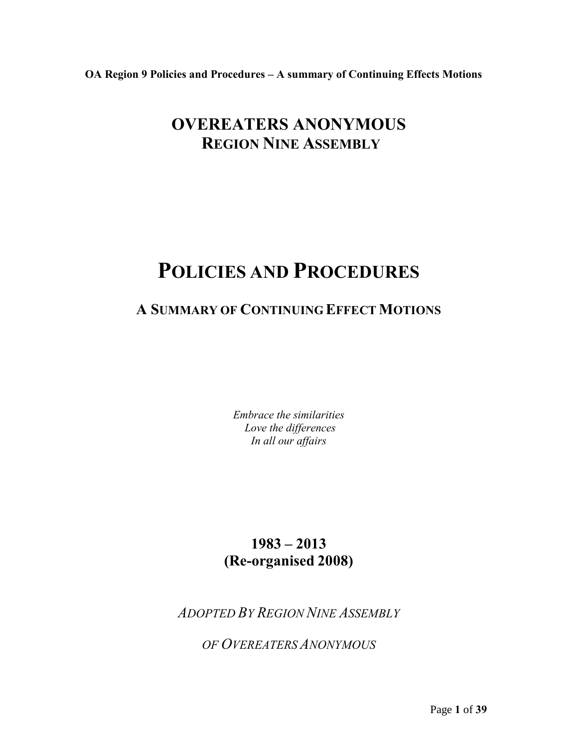# **OVEREATERS ANONYMOUS REGION NINE ASSEMBLY**

# **POLICIES AND PROCEDURES**

# **A SUMMARY OF CONTINUING EFFECT MOTIONS**

*Embrace the similarities Love the differences In all our affairs*

# **1983 – 2013 (Re-organised 2008)**

*ADOPTED BY REGION NINE ASSEMBLY* 

*OF OVEREATERS ANONYMOUS*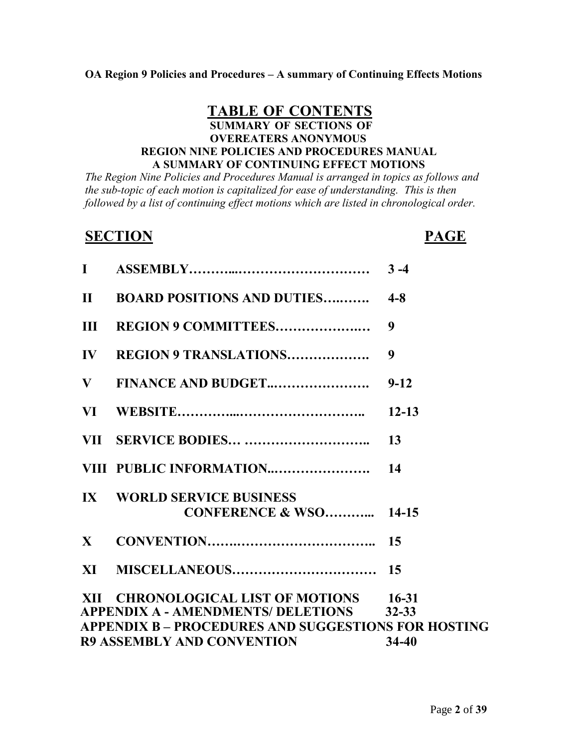# **TABLE OF CONTENTS SUMMARY OF SECTIONS OF OVEREATERS ANONYMOUS REGION NINE POLICIES AND PROCEDURES MANUAL A SUMMARY OF CONTINUING EFFECT MOTIONS**

*The Region Nine Policies and Procedures Manual is arranged in topics as follows and the sub-topic of each motion is capitalized for ease of understanding. This is then followed by a list of continuing effect motions which are listed in chronological order.*

# **SECTION PAGE**

| $\mathbf{I}$  |                                                                               | $3 - 4$   |
|---------------|-------------------------------------------------------------------------------|-----------|
| $\mathbf{H}$  | <b>BOARD POSITIONS AND DUTIES</b>                                             | $4 - 8$   |
| III           | REGION 9 COMMITTEES                                                           | 9         |
| $\mathbf{IV}$ | <b>REGION 9 TRANSLATIONS</b>                                                  | 9         |
| $\mathbf{V}$  | FINANCE AND BUDGET                                                            | $9 - 12$  |
| VI —          |                                                                               | $12 - 13$ |
|               |                                                                               | 13        |
|               | VIII PUBLIC INFORMATION                                                       | 14        |
|               | <b>IX WORLD SERVICE BUSINESS</b><br><b>CONFERENCE &amp; WSO 14-15</b>         |           |
| $\mathbf{X}$  |                                                                               | 15        |
|               |                                                                               |           |
|               | XII CHRONOLOGICAL LIST OF MOTIONS 16-31<br>APPENDIX A - AMENDMENTS/ DELETIONS | $32 - 33$ |
|               | <b>APPENDIX B – PROCEDURES AND SUGGESTIONS FOR HOSTING</b>                    |           |
|               | <b>R9 ASSEMBLY AND CONVENTION</b>                                             | $34 - 40$ |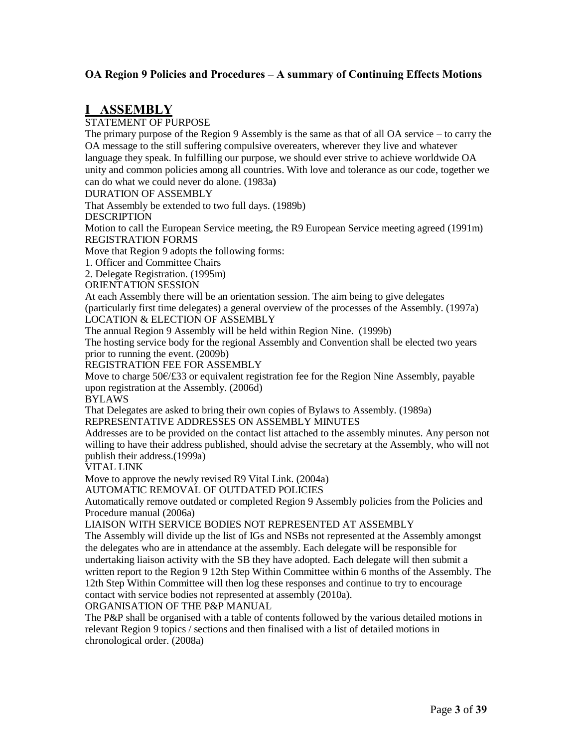# **I ASSEMBLY**

STATEMENT OF PURPOSE

The primary purpose of the Region 9 Assembly is the same as that of all OA service – to carry the OA message to the still suffering compulsive overeaters, wherever they live and whatever language they speak. In fulfilling our purpose, we should ever strive to achieve worldwide OA unity and common policies among all countries. With love and tolerance as our code, together we can do what we could never do alone. (1983a**)**

#### DURATION OF ASSEMBLY

That Assembly be extended to two full days. (1989b)

DESCRIPTION

Motion to call the European Service meeting, the R9 European Service meeting agreed (1991m) REGISTRATION FORMS

Move that Region 9 adopts the following forms:

1. Officer and Committee Chairs

2. Delegate Registration. (1995m)

ORIENTATION SESSION

At each Assembly there will be an orientation session. The aim being to give delegates

(particularly first time delegates) a general overview of the processes of the Assembly. (1997a)

LOCATION & ELECTION OF ASSEMBLY

The annual Region 9 Assembly will be held within Region Nine. (1999b)

The hosting service body for the regional Assembly and Convention shall be elected two years prior to running the event. (2009b)

REGISTRATION FEE FOR ASSEMBLY

Move to charge 50€/£33 or equivalent registration fee for the Region Nine Assembly, payable upon registration at the Assembly. (2006d)

BYLAWS

That Delegates are asked to bring their own copies of Bylaws to Assembly. (1989a) REPRESENTATIVE ADDRESSES ON ASSEMBLY MINUTES

Addresses are to be provided on the contact list attached to the assembly minutes. Any person not willing to have their address published, should advise the secretary at the Assembly, who will not publish their address.(1999a)

VITAL LINK

Move to approve the newly revised R9 Vital Link. (2004a)

AUTOMATIC REMOVAL OF OUTDATED POLICIES

Automatically remove outdated or completed Region 9 Assembly policies from the Policies and Procedure manual (2006a)

LIAISON WITH SERVICE BODIES NOT REPRESENTED AT ASSEMBLY

The Assembly will divide up the list of IGs and NSBs not represented at the Assembly amongst the delegates who are in attendance at the assembly. Each delegate will be responsible for undertaking liaison activity with the SB they have adopted. Each delegate will then submit a written report to the Region 9 12th Step Within Committee within 6 months of the Assembly. The 12th Step Within Committee will then log these responses and continue to try to encourage contact with service bodies not represented at assembly (2010a).

ORGANISATION OF THE P&P MANUAL

The P&P shall be organised with a table of contents followed by the various detailed motions in relevant Region 9 topics / sections and then finalised with a list of detailed motions in chronological order. (2008a)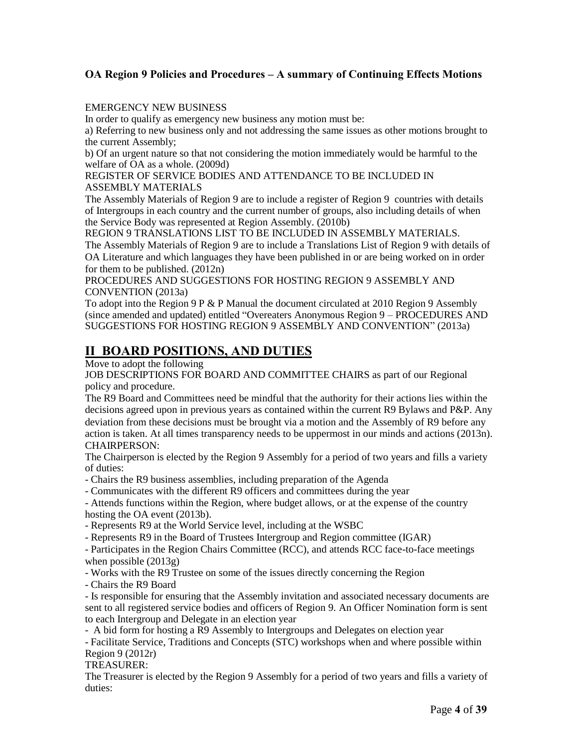# EMERGENCY NEW BUSINESS

In order to qualify as emergency new business any motion must be:

a) Referring to new business only and not addressing the same issues as other motions brought to the current Assembly;

b) Of an urgent nature so that not considering the motion immediately would be harmful to the welfare of OA as a whole. (2009d)

#### REGISTER OF SERVICE BODIES AND ATTENDANCE TO BE INCLUDED IN ASSEMBLY MATERIALS

The Assembly Materials of Region 9 are to include a register of Region 9 countries with details of Intergroups in each country and the current number of groups, also including details of when the Service Body was represented at Region Assembly. (2010b)

REGION 9 TRANSLATIONS LIST TO BE INCLUDED IN ASSEMBLY MATERIALS. The Assembly Materials of Region 9 are to include a Translations List of Region 9 with details of OA Literature and which languages they have been published in or are being worked on in order for them to be published. (2012n)

PROCEDURES AND SUGGESTIONS FOR HOSTING REGION 9 ASSEMBLY AND CONVENTION (2013a)

To adopt into the Region  $9P \& P$  Manual the document circulated at 2010 Region 9 Assembly (since amended and updated) entitled "Overeaters Anonymous Region 9 – PROCEDURES AND SUGGESTIONS FOR HOSTING REGION 9 ASSEMBLY AND CONVENTION" (2013a)

# **II BOARD POSITIONS, AND DUTIES**

Move to adopt the following

JOB DESCRIPTIONS FOR BOARD AND COMMITTEE CHAIRS as part of our Regional policy and procedure.

The R9 Board and Committees need be mindful that the authority for their actions lies within the decisions agreed upon in previous years as contained within the current R9 Bylaws and P&P. Any deviation from these decisions must be brought via a motion and the Assembly of R9 before any action is taken. At all times transparency needs to be uppermost in our minds and actions (2013n). CHAIRPERSON:

The Chairperson is elected by the Region 9 Assembly for a period of two years and fills a variety of duties:

- Chairs the R9 business assemblies, including preparation of the Agenda

- Communicates with the different R9 officers and committees during the year

- Attends functions within the Region, where budget allows, or at the expense of the country hosting the OA event (2013b).

- Represents R9 at the World Service level, including at the WSBC

- Represents R9 in the Board of Trustees Intergroup and Region committee (IGAR)

- Participates in the Region Chairs Committee (RCC), and attends RCC face-to-face meetings when possible (2013g)

- Works with the R9 Trustee on some of the issues directly concerning the Region

- Chairs the R9 Board

- Is responsible for ensuring that the Assembly invitation and associated necessary documents are sent to all registered service bodies and officers of Region 9. An Officer Nomination form is sent to each Intergroup and Delegate in an election year

- A bid form for hosting a R9 Assembly to Intergroups and Delegates on election year

- Facilitate Service, Traditions and Concepts (STC) workshops when and where possible within Region 9 (2012r)

TREASURER:

The Treasurer is elected by the Region 9 Assembly for a period of two years and fills a variety of duties: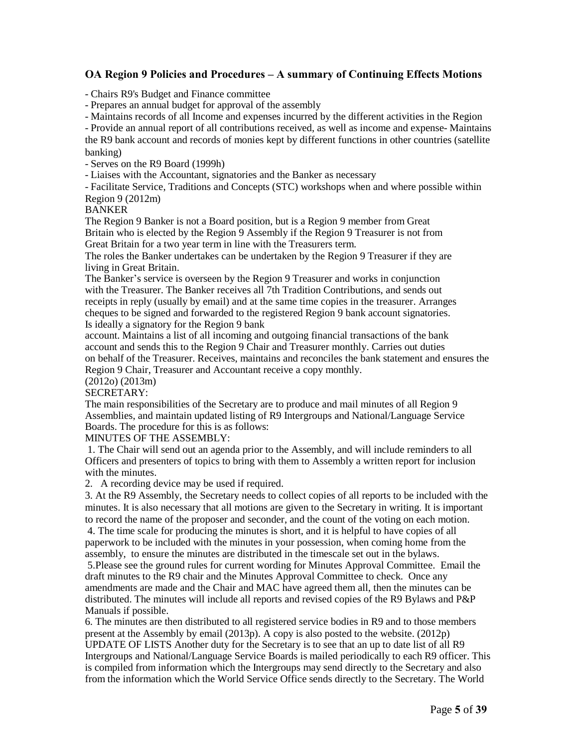- Chairs R9's Budget and Finance committee

- Prepares an annual budget for approval of the assembly

- Maintains records of all Income and expenses incurred by the different activities in the Region

- Provide an annual report of all contributions received, as well as income and expense- Maintains the R9 bank account and records of monies kept by different functions in other countries (satellite banking)

- Serves on the R9 Board (1999h)

- Liaises with the Accountant, signatories and the Banker as necessary

- Facilitate Service, Traditions and Concepts (STC) workshops when and where possible within Region 9 (2012m)

#### BANKER

The Region 9 Banker is not a Board position, but is a Region 9 member from Great Britain who is elected by the Region 9 Assembly if the Region 9 Treasurer is not from Great Britain for a two year term in line with the Treasurers term.

The roles the Banker undertakes can be undertaken by the Region 9 Treasurer if they are living in Great Britain.

The Banker's service is overseen by the Region 9 Treasurer and works in conjunction with the Treasurer. The Banker receives all 7th Tradition Contributions, and sends out receipts in reply (usually by email) and at the same time copies in the treasurer. Arranges cheques to be signed and forwarded to the registered Region 9 bank account signatories. Is ideally a signatory for the Region 9 bank

account. Maintains a list of all incoming and outgoing financial transactions of the bank account and sends this to the Region 9 Chair and Treasurer monthly. Carries out duties on behalf of the Treasurer. Receives, maintains and reconciles the bank statement and ensures the Region 9 Chair, Treasurer and Accountant receive a copy monthly.

# (2012o) (2013m)

#### SECRETARY:

The main responsibilities of the Secretary are to produce and mail minutes of all Region 9 Assemblies, and maintain updated listing of R9 Intergroups and National/Language Service Boards. The procedure for this is as follows:

MINUTES OF THE ASSEMBLY:

1. The Chair will send out an agenda prior to the Assembly, and will include reminders to all Officers and presenters of topics to bring with them to Assembly a written report for inclusion with the minutes.

2. A recording device may be used if required.

3. At the R9 Assembly, the Secretary needs to collect copies of all reports to be included with the minutes. It is also necessary that all motions are given to the Secretary in writing. It is important to record the name of the proposer and seconder, and the count of the voting on each motion.

4. The time scale for producing the minutes is short, and it is helpful to have copies of all paperwork to be included with the minutes in your possession, when coming home from the assembly, to ensure the minutes are distributed in the timescale set out in the bylaws.

5.Please see the ground rules for current wording for Minutes Approval Committee. Email the draft minutes to the R9 chair and the Minutes Approval Committee to check. Once any amendments are made and the Chair and MAC have agreed them all, then the minutes can be distributed. The minutes will include all reports and revised copies of the R9 Bylaws and P&P Manuals if possible.

6. The minutes are then distributed to all registered service bodies in R9 and to those members present at the Assembly by email (2013p). A copy is also posted to the website. (2012p) UPDATE OF LISTS Another duty for the Secretary is to see that an up to date list of all R9 Intergroups and National/Language Service Boards is mailed periodically to each R9 officer. This is compiled from information which the Intergroups may send directly to the Secretary and also from the information which the World Service Office sends directly to the Secretary. The World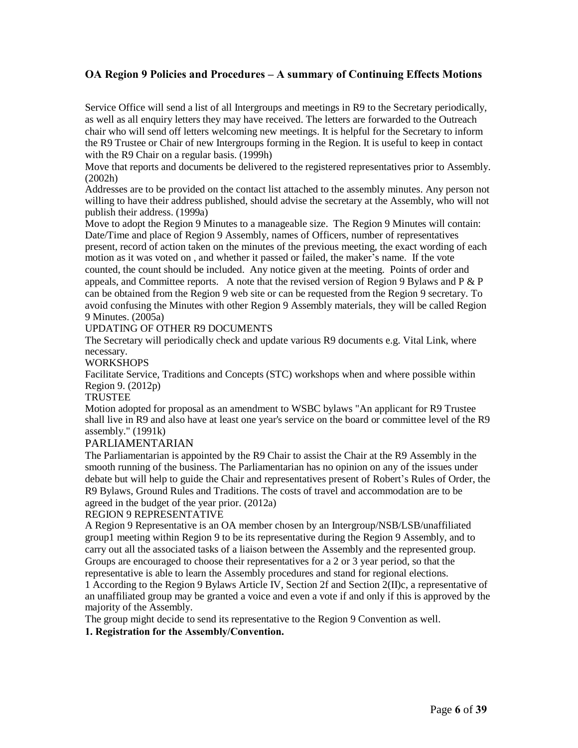Service Office will send a list of all Intergroups and meetings in R9 to the Secretary periodically, as well as all enquiry letters they may have received. The letters are forwarded to the Outreach chair who will send off letters welcoming new meetings. It is helpful for the Secretary to inform the R9 Trustee or Chair of new Intergroups forming in the Region. It is useful to keep in contact with the R9 Chair on a regular basis. (1999h)

Move that reports and documents be delivered to the registered representatives prior to Assembly. (2002h)

Addresses are to be provided on the contact list attached to the assembly minutes. Any person not willing to have their address published, should advise the secretary at the Assembly, who will not publish their address. (1999a)

Move to adopt the Region 9 Minutes to a manageable size. The Region 9 Minutes will contain: Date/Time and place of Region 9 Assembly, names of Officers, number of representatives present, record of action taken on the minutes of the previous meeting, the exact wording of each motion as it was voted on , and whether it passed or failed, the maker's name. If the vote counted, the count should be included. Any notice given at the meeting. Points of order and appeals, and Committee reports. A note that the revised version of Region 9 Bylaws and  $P \& P$ can be obtained from the Region 9 web site or can be requested from the Region 9 secretary. To avoid confusing the Minutes with other Region 9 Assembly materials, they will be called Region 9 Minutes. (2005a)

#### UPDATING OF OTHER R9 DOCUMENTS

The Secretary will periodically check and update various R9 documents e.g. Vital Link, where necessary.

#### **WORKSHOPS**

Facilitate Service, Traditions and Concepts (STC) workshops when and where possible within Region 9. (2012p)

#### TRUSTEE

Motion adopted for proposal as an amendment to WSBC bylaws "An applicant for R9 Trustee shall live in R9 and also have at least one year's service on the board or committee level of the R9 assembly." (1991k)

# PARLIAMENTARIAN

The Parliamentarian is appointed by the R9 Chair to assist the Chair at the R9 Assembly in the smooth running of the business. The Parliamentarian has no opinion on any of the issues under debate but will help to guide the Chair and representatives present of Robert's Rules of Order, the R9 Bylaws, Ground Rules and Traditions. The costs of travel and accommodation are to be agreed in the budget of the year prior. (2012a)

#### REGION 9 REPRESENTATIVE

A Region 9 Representative is an OA member chosen by an Intergroup/NSB/LSB/unaffiliated group1 meeting within Region 9 to be its representative during the Region 9 Assembly, and to carry out all the associated tasks of a liaison between the Assembly and the represented group. Groups are encouraged to choose their representatives for a 2 or 3 year period, so that the representative is able to learn the Assembly procedures and stand for regional elections.

1 According to the Region 9 Bylaws Article IV, Section 2f and Section 2(II)c, a representative of an unaffiliated group may be granted a voice and even a vote if and only if this is approved by the majority of the Assembly.

The group might decide to send its representative to the Region 9 Convention as well.

#### **1. Registration for the Assembly/Convention.**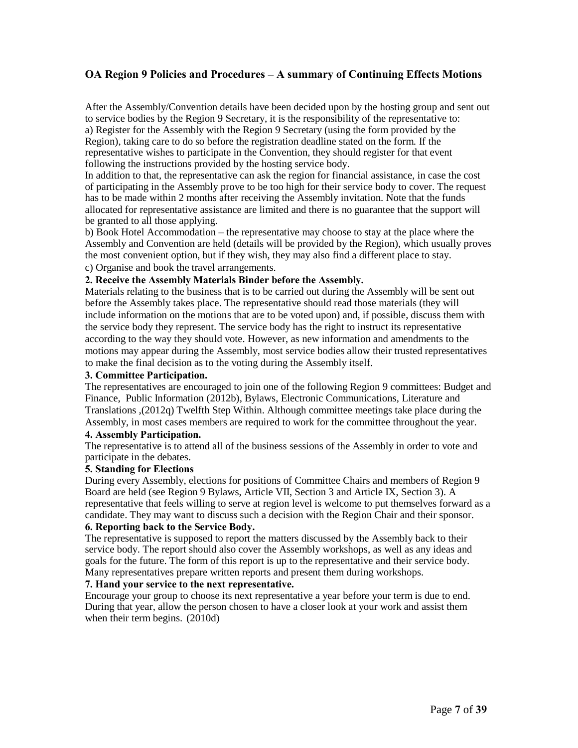After the Assembly/Convention details have been decided upon by the hosting group and sent out to service bodies by the Region 9 Secretary, it is the responsibility of the representative to: a) Register for the Assembly with the Region 9 Secretary (using the form provided by the Region), taking care to do so before the registration deadline stated on the form. If the representative wishes to participate in the Convention, they should register for that event following the instructions provided by the hosting service body.

In addition to that, the representative can ask the region for financial assistance, in case the cost of participating in the Assembly prove to be too high for their service body to cover. The request has to be made within 2 months after receiving the Assembly invitation. Note that the funds allocated for representative assistance are limited and there is no guarantee that the support will be granted to all those applying.

b) Book Hotel Accommodation – the representative may choose to stay at the place where the Assembly and Convention are held (details will be provided by the Region), which usually proves the most convenient option, but if they wish, they may also find a different place to stay. c) Organise and book the travel arrangements.

#### **2. Receive the Assembly Materials Binder before the Assembly.**

Materials relating to the business that is to be carried out during the Assembly will be sent out before the Assembly takes place. The representative should read those materials (they will include information on the motions that are to be voted upon) and, if possible, discuss them with the service body they represent. The service body has the right to instruct its representative according to the way they should vote. However, as new information and amendments to the motions may appear during the Assembly, most service bodies allow their trusted representatives to make the final decision as to the voting during the Assembly itself.

#### **3. Committee Participation.**

The representatives are encouraged to join one of the following Region 9 committees: Budget and Finance, Public Information (2012b), Bylaws, Electronic Communications, Literature and Translations ,(2012q) Twelfth Step Within. Although committee meetings take place during the Assembly, in most cases members are required to work for the committee throughout the year.

#### **4. Assembly Participation.**

The representative is to attend all of the business sessions of the Assembly in order to vote and participate in the debates.

#### **5. Standing for Elections**

During every Assembly, elections for positions of Committee Chairs and members of Region 9 Board are held (see Region 9 Bylaws, Article VII, Section 3 and Article IX, Section 3). A representative that feels willing to serve at region level is welcome to put themselves forward as a candidate. They may want to discuss such a decision with the Region Chair and their sponsor.

#### **6. Reporting back to the Service Body.**

The representative is supposed to report the matters discussed by the Assembly back to their service body. The report should also cover the Assembly workshops, as well as any ideas and goals for the future. The form of this report is up to the representative and their service body. Many representatives prepare written reports and present them during workshops.

#### **7. Hand your service to the next representative.**

Encourage your group to choose its next representative a year before your term is due to end. During that year, allow the person chosen to have a closer look at your work and assist them when their term begins. (2010d)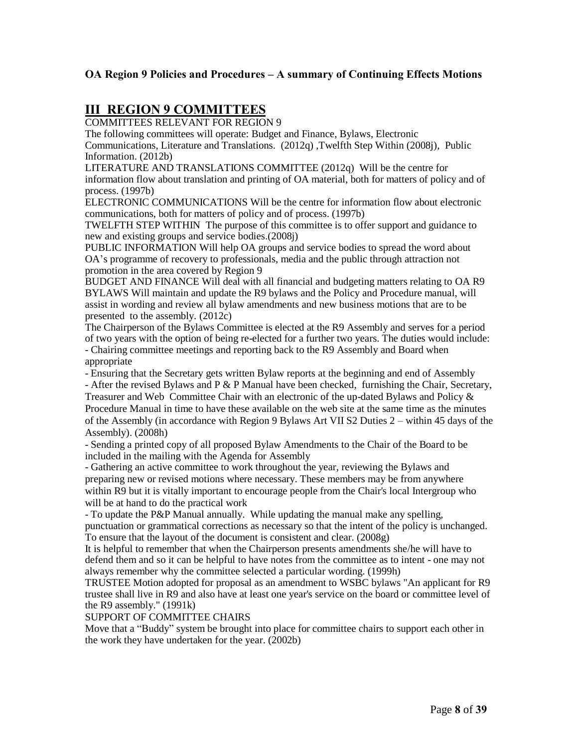# **III REGION 9 COMMITTEES**

COMMITTEES RELEVANT FOR REGION 9

The following committees will operate: Budget and Finance, Bylaws, Electronic Communications, Literature and Translations. (2012q) ,Twelfth Step Within (2008j), Public Information. (2012b)

LITERATURE AND TRANSLATIONS COMMITTEE (2012q) Will be the centre for information flow about translation and printing of OA material, both for matters of policy and of process. (1997b)

ELECTRONIC COMMUNICATIONS Will be the centre for information flow about electronic communications, both for matters of policy and of process. (1997b)

TWELFTH STEP WITHIN The purpose of this committee is to offer support and guidance to new and existing groups and service bodies.(2008j)

PUBLIC INFORMATION Will help OA groups and service bodies to spread the word about OA's programme of recovery to professionals, media and the public through attraction not promotion in the area covered by Region 9

BUDGET AND FINANCE Will deal with all financial and budgeting matters relating to OA R9 BYLAWS Will maintain and update the R9 bylaws and the Policy and Procedure manual, will assist in wording and review all bylaw amendments and new business motions that are to be presented to the assembly. (2012c)

The Chairperson of the Bylaws Committee is elected at the R9 Assembly and serves for a period of two years with the option of being re-elected for a further two years. The duties would include: - Chairing committee meetings and reporting back to the R9 Assembly and Board when appropriate

- Ensuring that the Secretary gets written Bylaw reports at the beginning and end of Assembly

- After the revised Bylaws and P & P Manual have been checked, furnishing the Chair, Secretary, Treasurer and Web Committee Chair with an electronic of the up-dated Bylaws and Policy & Procedure Manual in time to have these available on the web site at the same time as the minutes of the Assembly (in accordance with Region 9 Bylaws Art VII S2 Duties 2 – within 45 days of the Assembly). (2008h)

- Sending a printed copy of all proposed Bylaw Amendments to the Chair of the Board to be included in the mailing with the Agenda for Assembly

- Gathering an active committee to work throughout the year, reviewing the Bylaws and preparing new or revised motions where necessary. These members may be from anywhere within R9 but it is vitally important to encourage people from the Chair's local Intergroup who will be at hand to do the practical work

- To update the P&P Manual annually. While updating the manual make any spelling, punctuation or grammatical corrections as necessary so that the intent of the policy is unchanged. To ensure that the layout of the document is consistent and clear. (2008g)

It is helpful to remember that when the Chairperson presents amendments she/he will have to defend them and so it can be helpful to have notes from the committee as to intent - one may not always remember why the committee selected a particular wording. (1999h)

TRUSTEE Motion adopted for proposal as an amendment to WSBC bylaws "An applicant for R9 trustee shall live in R9 and also have at least one year's service on the board or committee level of the R9 assembly." (1991k)

#### SUPPORT OF COMMITTEE CHAIRS

Move that a "Buddy" system be brought into place for committee chairs to support each other in the work they have undertaken for the year. (2002b)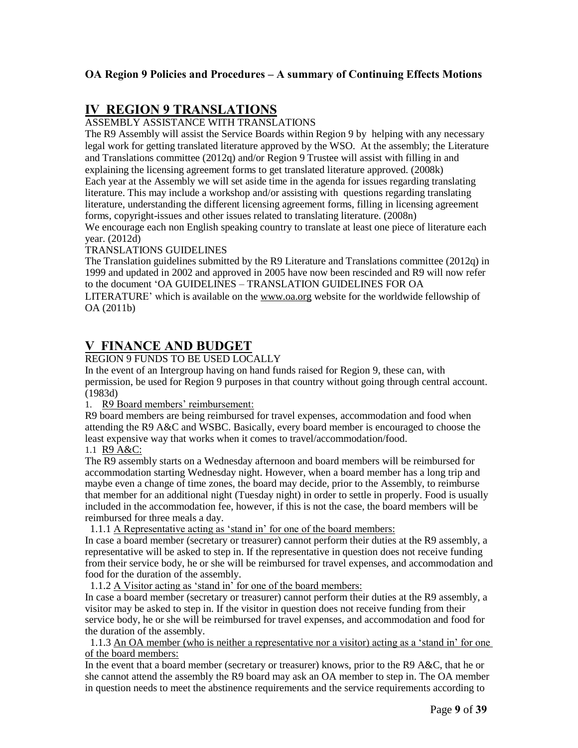# **IV REGION 9 TRANSLATIONS**

ASSEMBLY ASSISTANCE WITH TRANSLATIONS

The R9 Assembly will assist the Service Boards within Region 9 by helping with any necessary legal work for getting translated literature approved by the WSO. At the assembly; the Literature and Translations committee (2012q) and/or Region 9 Trustee will assist with filling in and explaining the licensing agreement forms to get translated literature approved. (2008k) Each year at the Assembly we will set aside time in the agenda for issues regarding translating literature. This may include a workshop and/or assisting with questions regarding translating literature, understanding the different licensing agreement forms, filling in licensing agreement forms, copyright-issues and other issues related to translating literature. (2008n)

We encourage each non English speaking country to translate at least one piece of literature each year. (2012d)

#### TRANSLATIONS GUIDELINES

The Translation guidelines submitted by the R9 Literature and Translations committee (2012q) in 1999 and updated in 2002 and approved in 2005 have now been rescinded and R9 will now refer to the document 'OA GUIDELINES – TRANSLATION GUIDELINES FOR OA LITERATURE' which is available on the [www.oa.org](http://www.oa.org/) website for the worldwide fellowship of OA (2011b)

# **V FINANCE AND BUDGET**

#### REGION 9 FUNDS TO BE USED LOCALLY

In the event of an Intergroup having on hand funds raised for Region 9, these can, with permission, be used for Region 9 purposes in that country without going through central account. (1983d)

#### 1. R9 Board members' reimbursement:

R9 board members are being reimbursed for travel expenses, accommodation and food when attending the R9 A&C and WSBC. Basically, every board member is encouraged to choose the least expensive way that works when it comes to travel/accommodation/food.

1.1 R9 A&C:

The R9 assembly starts on a Wednesday afternoon and board members will be reimbursed for accommodation starting Wednesday night. However, when a board member has a long trip and maybe even a change of time zones, the board may decide, prior to the Assembly, to reimburse that member for an additional night (Tuesday night) in order to settle in properly. Food is usually included in the accommodation fee, however, if this is not the case, the board members will be reimbursed for three meals a day.

1.1.1 A Representative acting as 'stand in' for one of the board members:

In case a board member (secretary or treasurer) cannot perform their duties at the R9 assembly, a representative will be asked to step in. If the representative in question does not receive funding from their service body, he or she will be reimbursed for travel expenses, and accommodation and food for the duration of the assembly.

1.1.2 A Visitor acting as 'stand in' for one of the board members:

In case a board member (secretary or treasurer) cannot perform their duties at the R9 assembly, a visitor may be asked to step in. If the visitor in question does not receive funding from their service body, he or she will be reimbursed for travel expenses, and accommodation and food for the duration of the assembly.

 1.1.3 An OA member (who is neither a representative nor a visitor) acting as a 'stand in' for one of the board members:

In the event that a board member (secretary or treasurer) knows, prior to the R9 A&C, that he or she cannot attend the assembly the R9 board may ask an OA member to step in. The OA member in question needs to meet the abstinence requirements and the service requirements according to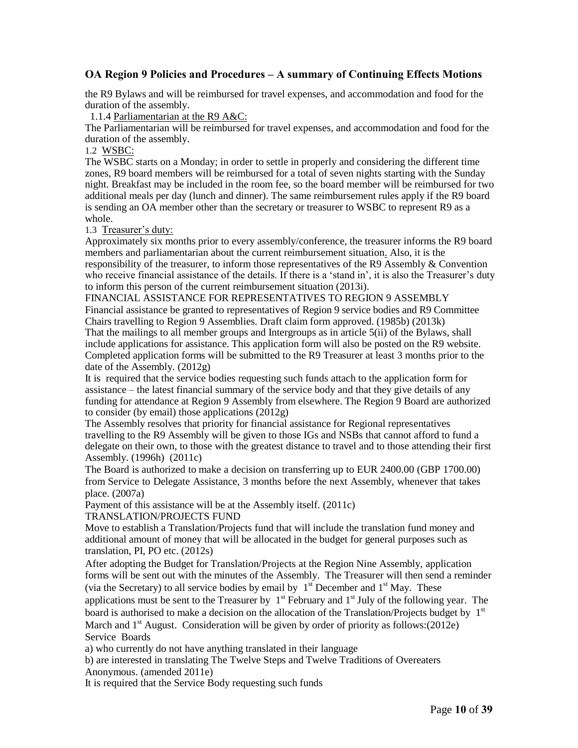the R9 Bylaws and will be reimbursed for travel expenses, and accommodation and food for the duration of the assembly.

1.1.4 Parliamentarian at the R9 A&C:

The Parliamentarian will be reimbursed for travel expenses, and accommodation and food for the duration of the assembly.

1.2 WSBC:

The WSBC starts on a Monday; in order to settle in properly and considering the different time zones, R9 board members will be reimbursed for a total of seven nights starting with the Sunday night. Breakfast may be included in the room fee, so the board member will be reimbursed for two additional meals per day (lunch and dinner). The same reimbursement rules apply if the R9 board is sending an OA member other than the secretary or treasurer to WSBC to represent R9 as a whole.

1.3 Treasurer's duty:

Approximately six months prior to every assembly/conference, the treasurer informs the R9 board members and parliamentarian about the current reimbursement situation. Also, it is the responsibility of the treasurer, to inform those representatives of the R9 Assembly & Convention who receive financial assistance of the details. If there is a 'stand in', it is also the Treasurer's duty to inform this person of the current reimbursement situation (2013i).

FINANCIAL ASSISTANCE FOR REPRESENTATIVES TO REGION 9 ASSEMBLY Financial assistance be granted to representatives of Region 9 service bodies and R9 Committee Chairs travelling to Region 9 Assemblies. Draft claim form approved. (1985b) (2013k) That the mailings to all member groups and Intergroups as in article 5(ii) of the Bylaws, shall include applications for assistance. This application form will also be posted on the R9 website.

Completed application forms will be submitted to the R9 Treasurer at least 3 months prior to the date of the Assembly. (2012g)

It is required that the service bodies requesting such funds attach to the application form for assistance – the latest financial summary of the service body and that they give details of any funding for attendance at Region 9 Assembly from elsewhere. The Region 9 Board are authorized to consider (by email) those applications (2012g)

The Assembly resolves that priority for financial assistance for Regional representatives travelling to the R9 Assembly will be given to those IGs and NSBs that cannot afford to fund a delegate on their own, to those with the greatest distance to travel and to those attending their first Assembly. (1996h) (2011c)

The Board is authorized to make a decision on transferring up to EUR 2400.00 (GBP 1700.00) from Service to Delegate Assistance, 3 months before the next Assembly, whenever that takes place. (2007a)

Payment of this assistance will be at the Assembly itself. (2011c) TRANSLATION/PROJECTS FUND

Move to establish a Translation/Projects fund that will include the translation fund money and additional amount of money that will be allocated in the budget for general purposes such as translation, PI, PO etc. (2012s)

After adopting the Budget for Translation/Projects at the Region Nine Assembly, application forms will be sent out with the minutes of the Assembly. The Treasurer will then send a reminder (via the Secretary) to all service bodies by email by  $1<sup>st</sup>$  December and  $1<sup>st</sup>$  May. These applications must be sent to the Treasurer by  $1<sup>st</sup>$  February and  $1<sup>st</sup>$  July of the following year. The board is authorised to make a decision on the allocation of the Translation/Projects budget by  $1<sup>st</sup>$ March and 1<sup>st</sup> August. Consideration will be given by order of priority as follows: (2012e) Service Boards

a) who currently do not have anything translated in their language

b) are interested in translating The Twelve Steps and Twelve Traditions of Overeaters Anonymous. (amended 2011e)

It is required that the Service Body requesting such funds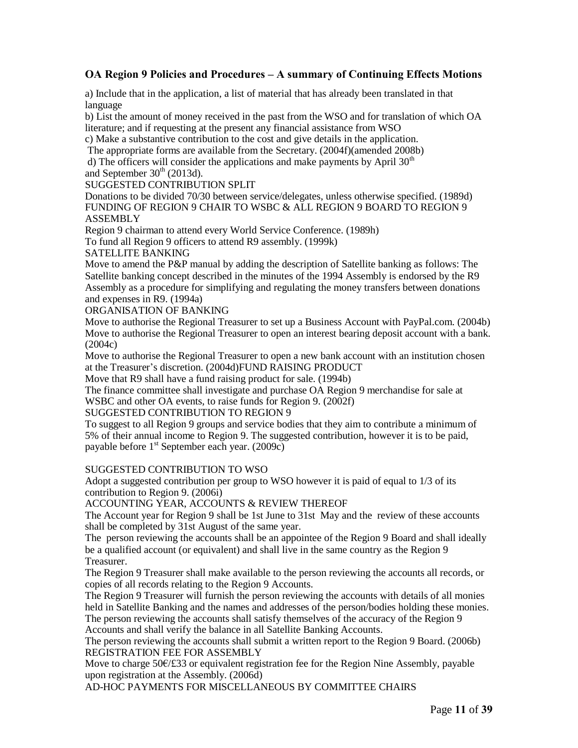a) Include that in the application, a list of material that has already been translated in that language

b) List the amount of money received in the past from the WSO and for translation of which OA literature; and if requesting at the present any financial assistance from WSO

c) Make a substantive contribution to the cost and give details in the application.

The appropriate forms are available from the Secretary. (2004f)(amended 2008b)

d) The officers will consider the applications and make payments by April  $30<sup>th</sup>$ and September  $30<sup>th</sup>$  (2013d).

#### SUGGESTED CONTRIBUTION SPLIT

Donations to be divided 70/30 between service/delegates, unless otherwise specified. (1989d) FUNDING OF REGION 9 CHAIR TO WSBC & ALL REGION 9 BOARD TO REGION 9 ASSEMBLY

Region 9 chairman to attend every World Service Conference. (1989h)

To fund all Region 9 officers to attend R9 assembly. (1999k)

#### SATELLITE BANKING

Move to amend the P&P manual by adding the description of Satellite banking as follows: The Satellite banking concept described in the minutes of the 1994 Assembly is endorsed by the R9 Assembly as a procedure for simplifying and regulating the money transfers between donations and expenses in R9. (1994a)

ORGANISATION OF BANKING

Move to authorise the Regional Treasurer to set up a Business Account with PayPal.com. (2004b) Move to authorise the Regional Treasurer to open an interest bearing deposit account with a bank. (2004c)

Move to authorise the Regional Treasurer to open a new bank account with an institution chosen at the Treasurer's discretion. (2004d)FUND RAISING PRODUCT

Move that R9 shall have a fund raising product for sale. (1994b)

The finance committee shall investigate and purchase OA Region 9 merchandise for sale at WSBC and other OA events, to raise funds for Region 9. (2002f)

#### SUGGESTED CONTRIBUTION TO REGION 9

To suggest to all Region 9 groups and service bodies that they aim to contribute a minimum of 5% of their annual income to Region 9. The suggested contribution, however it is to be paid, payable before 1<sup>st</sup> September each year. (2009c)

#### SUGGESTED CONTRIBUTION TO WSO

Adopt a suggested contribution per group to WSO however it is paid of equal to 1/3 of its contribution to Region 9. (2006i)

ACCOUNTING YEAR, ACCOUNTS & REVIEW THEREOF

The Account year for Region 9 shall be 1st June to 31st May and the review of these accounts shall be completed by 31st August of the same year.

The person reviewing the accounts shall be an appointee of the Region 9 Board and shall ideally be a qualified account (or equivalent) and shall live in the same country as the Region 9 Treasurer.

The Region 9 Treasurer shall make available to the person reviewing the accounts all records, or copies of all records relating to the Region 9 Accounts.

The Region 9 Treasurer will furnish the person reviewing the accounts with details of all monies held in Satellite Banking and the names and addresses of the person/bodies holding these monies. The person reviewing the accounts shall satisfy themselves of the accuracy of the Region 9 Accounts and shall verify the balance in all Satellite Banking Accounts.

The person reviewing the accounts shall submit a written report to the Region 9 Board. (2006b) REGISTRATION FEE FOR ASSEMBLY

Move to charge 50€/£33 or equivalent registration fee for the Region Nine Assembly, payable upon registration at the Assembly. (2006d)

AD-HOC PAYMENTS FOR MISCELLANEOUS BY COMMITTEE CHAIRS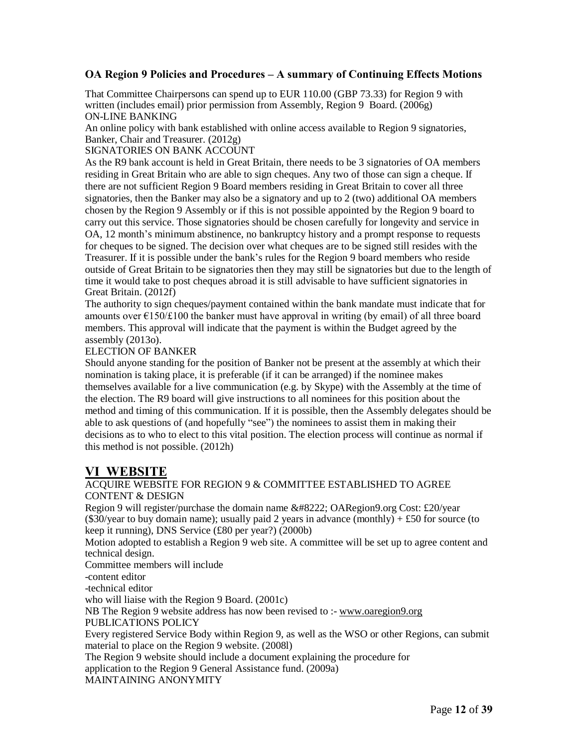That Committee Chairpersons can spend up to EUR 110.00 (GBP 73.33) for Region 9 with written (includes email) prior permission from Assembly, Region 9 Board. (2006g) ON-LINE BANKING

An online policy with bank established with online access available to Region 9 signatories, Banker, Chair and Treasurer. (2012g)

#### SIGNATORIES ON BANK ACCOUNT

As the R9 bank account is held in Great Britain, there needs to be 3 signatories of OA members residing in Great Britain who are able to sign cheques. Any two of those can sign a cheque. If there are not sufficient Region 9 Board members residing in Great Britain to cover all three signatories, then the Banker may also be a signatory and up to 2 (two) additional OA members chosen by the Region 9 Assembly or if this is not possible appointed by the Region 9 board to carry out this service. Those signatories should be chosen carefully for longevity and service in OA, 12 month's minimum abstinence, no bankruptcy history and a prompt response to requests for cheques to be signed. The decision over what cheques are to be signed still resides with the Treasurer. If it is possible under the bank's rules for the Region 9 board members who reside outside of Great Britain to be signatories then they may still be signatories but due to the length of time it would take to post cheques abroad it is still advisable to have sufficient signatories in Great Britain. (2012f)

The authority to sign cheques/payment contained within the bank mandate must indicate that for amounts over  $\epsilon$ 150/£100 the banker must have approval in writing (by email) of all three board members. This approval will indicate that the payment is within the Budget agreed by the assembly (2013o).

#### ELECTION OF BANKER

Should anyone standing for the position of Banker not be present at the assembly at which their nomination is taking place, it is preferable (if it can be arranged) if the nominee makes themselves available for a live communication (e.g. by Skype) with the Assembly at the time of the election. The R9 board will give instructions to all nominees for this position about the method and timing of this communication. If it is possible, then the Assembly delegates should be able to ask questions of (and hopefully "see") the nominees to assist them in making their decisions as to who to elect to this vital position. The election process will continue as normal if this method is not possible. (2012h)

# **VI WEBSITE**

#### ACQUIRE WEBSITE FOR REGION 9 & COMMITTEE ESTABLISHED TO AGREE CONTENT & DESIGN

Region 9 will register/purchase the domain name " OARegion9.org Cost: £20/year (\$30/year to buy domain name); usually paid 2 years in advance (monthly)  $+ £50$  for source (to keep it running), DNS Service (£80 per year?) (2000b)

Motion adopted to establish a Region 9 web site. A committee will be set up to agree content and technical design.

Committee members will include

-content editor

-technical editor

who will liaise with the Region 9 Board. (2001c)

NB The Region 9 website address has now been revised to :- [www.oaregion9.org](http://www.oaregion9.org/)

### PUBLICATIONS POLICY

Every registered Service Body within Region 9, as well as the WSO or other Regions, can submit material to place on the Region 9 website. (2008l)

The Region 9 website should include a document explaining the procedure for

application to the Region 9 General Assistance fund. (2009a)

MAINTAINING ANONYMITY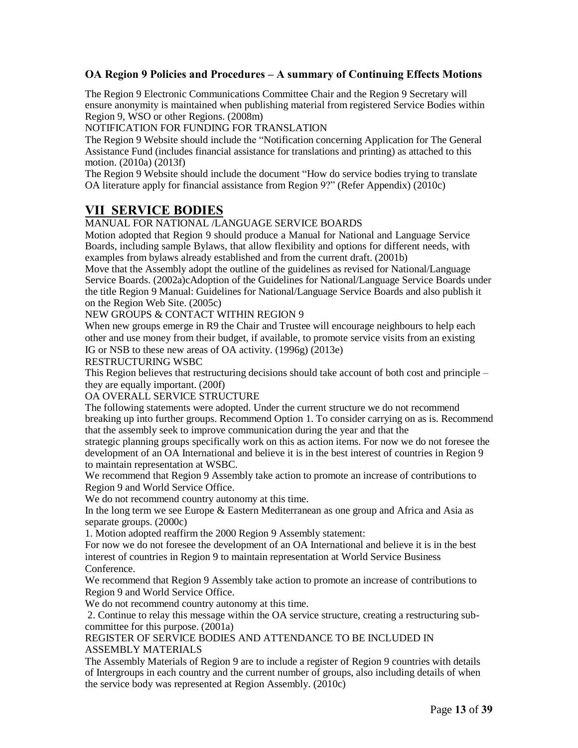The Region 9 Electronic Communications Committee Chair and the Region 9 Secretary will ensure anonymity is maintained when publishing material from registered Service Bodies within Region 9, WSO or other Regions. (2008m)

NOTIFICATION FOR FUNDING FOR TRANSLATION

The Region 9 Website should include the "Notification concerning Application for The General Assistance Fund (includes financial assistance for translations and printing) as attached to this motion. (2010a) (2013f)

The Region 9 Website should include the document "How do service bodies trying to translate OA literature apply for financial assistance from Region 9?" (Refer Appendix) (2010c)

# **VII SERVICE BODIES**

# MANUAL FOR NATIONAL /LANGUAGE SERVICE BOARDS

Motion adopted that Region 9 should produce a Manual for National and Language Service Boards, including sample Bylaws, that allow flexibility and options for different needs, with examples from bylaws already established and from the current draft. (2001b)

Move that the Assembly adopt the outline of the guidelines as revised for National/Language Service Boards. (2002a)cAdoption of the Guidelines for National/Language Service Boards under the title Region 9 Manual: Guidelines for National/Language Service Boards and also publish it on the Region Web Site. (2005c)

NEW GROUPS & CONTACT WITHIN REGION 9

When new groups emerge in R9 the Chair and Trustee will encourage neighbours to help each other and use money from their budget, if available, to promote service visits from an existing IG or NSB to these new areas of OA activity. (1996g) (2013e)

RESTRUCTURING WSBC

This Region believes that restructuring decisions should take account of both cost and principle – they are equally important. (200f)

OA OVERALL SERVICE STRUCTURE

The following statements were adopted. Under the current structure we do not recommend breaking up into further groups. Recommend Option 1. To consider carrying on as is. Recommend that the assembly seek to improve communication during the year and that the

strategic planning groups specifically work on this as action items. For now we do not foresee the development of an OA International and believe it is in the best interest of countries in Region 9 to maintain representation at WSBC.

We recommend that Region 9 Assembly take action to promote an increase of contributions to Region 9 and World Service Office.

We do not recommend country autonomy at this time.

In the long term we see Europe & Eastern Mediterranean as one group and Africa and Asia as separate groups. (2000c)

1. Motion adopted reaffirm the 2000 Region 9 Assembly statement:

For now we do not foresee the development of an OA International and believe it is in the best interest of countries in Region 9 to maintain representation at World Service Business Conference.

We recommend that Region 9 Assembly take action to promote an increase of contributions to Region 9 and World Service Office.

We do not recommend country autonomy at this time.

2. Continue to relay this message within the OA service structure, creating a restructuring subcommittee for this purpose. (2001a)

REGISTER OF SERVICE BODIES AND ATTENDANCE TO BE INCLUDED IN ASSEMBLY MATERIALS

The Assembly Materials of Region 9 are to include a register of Region 9 countries with details of Intergroups in each country and the current number of groups, also including details of when the service body was represented at Region Assembly. (2010c)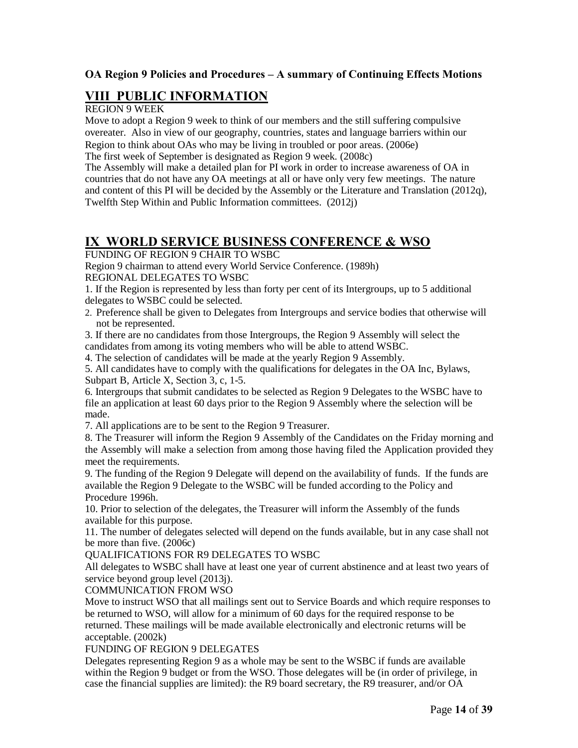# **VIII PUBLIC INFORMATION**

### REGION 9 WEEK

Move to adopt a Region 9 week to think of our members and the still suffering compulsive overeater. Also in view of our geography, countries, states and language barriers within our Region to think about OAs who may be living in troubled or poor areas. (2006e) The first week of September is designated as Region 9 week. (2008c)

The Assembly will make a detailed plan for PI work in order to increase awareness of OA in countries that do not have any OA meetings at all or have only very few meetings. The nature and content of this PI will be decided by the Assembly or the Literature and Translation (2012q), Twelfth Step Within and Public Information committees. (2012j)

# **IX WORLD SERVICE BUSINESS CONFERENCE & WSO**

FUNDING OF REGION 9 CHAIR TO WSBC

Region 9 chairman to attend every World Service Conference. (1989h) REGIONAL DELEGATES TO WSBC

1. If the Region is represented by less than forty per cent of its Intergroups, up to 5 additional delegates to WSBC could be selected.

2. Preference shall be given to Delegates from Intergroups and service bodies that otherwise will not be represented.

3. If there are no candidates from those Intergroups, the Region 9 Assembly will select the candidates from among its voting members who will be able to attend WSBC.

4. The selection of candidates will be made at the yearly Region 9 Assembly.

5. All candidates have to comply with the qualifications for delegates in the OA Inc, Bylaws, Subpart B, Article X, Section 3, c, 1-5.

6. Intergroups that submit candidates to be selected as Region 9 Delegates to the WSBC have to file an application at least 60 days prior to the Region 9 Assembly where the selection will be made.

7. All applications are to be sent to the Region 9 Treasurer.

8. The Treasurer will inform the Region 9 Assembly of the Candidates on the Friday morning and the Assembly will make a selection from among those having filed the Application provided they meet the requirements.

9. The funding of the Region 9 Delegate will depend on the availability of funds. If the funds are available the Region 9 Delegate to the WSBC will be funded according to the Policy and Procedure 1996h.

10. Prior to selection of the delegates, the Treasurer will inform the Assembly of the funds available for this purpose.

11. The number of delegates selected will depend on the funds available, but in any case shall not be more than five. (2006c)

QUALIFICATIONS FOR R9 DELEGATES TO WSBC

All delegates to WSBC shall have at least one year of current abstinence and at least two years of service beyond group level (2013j).

# COMMUNICATION FROM WSO

Move to instruct WSO that all mailings sent out to Service Boards and which require responses to be returned to WSO, will allow for a minimum of 60 days for the required response to be returned. These mailings will be made available electronically and electronic returns will be acceptable. (2002k)

#### FUNDING OF REGION 9 DELEGATES

Delegates representing Region 9 as a whole may be sent to the WSBC if funds are available within the Region 9 budget or from the WSO. Those delegates will be (in order of privilege, in case the financial supplies are limited): the R9 board secretary, the R9 treasurer, and/or OA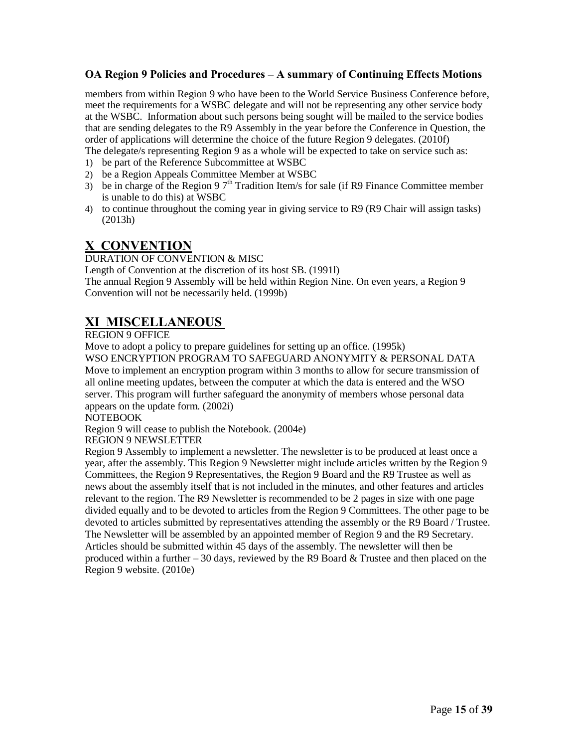members from within Region 9 who have been to the World Service Business Conference before, meet the requirements for a WSBC delegate and will not be representing any other service body at the WSBC. Information about such persons being sought will be mailed to the service bodies that are sending delegates to the R9 Assembly in the year before the Conference in Question, the order of applications will determine the choice of the future Region 9 delegates. (2010f) The delegate/s representing Region 9 as a whole will be expected to take on service such as:

- 1) be part of the Reference Subcommittee at WSBC
- 2) be a Region Appeals Committee Member at WSBC
- 3) be in charge of the Region 9  $7<sup>th</sup>$  Tradition Item/s for sale (if R9 Finance Committee member is unable to do this) at WSBC
- 4) to continue throughout the coming year in giving service to R9 (R9 Chair will assign tasks) (2013h)

# **X CONVENTION**

DURATION OF CONVENTION & MISC

Length of Convention at the discretion of its host SB. (1991l) The annual Region 9 Assembly will be held within Region Nine. On even years, a Region 9 Convention will not be necessarily held. (1999b)

# **XI MISCELLANEOUS**

REGION 9 OFFICE

Move to adopt a policy to prepare guidelines for setting up an office. (1995k)

WSO ENCRYPTION PROGRAM TO SAFEGUARD ANONYMITY & PERSONAL DATA Move to implement an encryption program within 3 months to allow for secure transmission of all online meeting updates, between the computer at which the data is entered and the WSO server. This program will further safeguard the anonymity of members whose personal data appears on the update form. (2002i)

NOTEBOOK

Region 9 will cease to publish the Notebook. (2004e)

REGION 9 NEWSLETTER

Region 9 Assembly to implement a newsletter. The newsletter is to be produced at least once a year, after the assembly. This Region 9 Newsletter might include articles written by the Region 9 Committees, the Region 9 Representatives, the Region 9 Board and the R9 Trustee as well as news about the assembly itself that is not included in the minutes, and other features and articles relevant to the region. The R9 Newsletter is recommended to be 2 pages in size with one page divided equally and to be devoted to articles from the Region 9 Committees. The other page to be devoted to articles submitted by representatives attending the assembly or the R9 Board / Trustee. The Newsletter will be assembled by an appointed member of Region 9 and the R9 Secretary. Articles should be submitted within 45 days of the assembly. The newsletter will then be produced within a further – 30 days, reviewed by the R9 Board & Trustee and then placed on the Region 9 website. (2010e)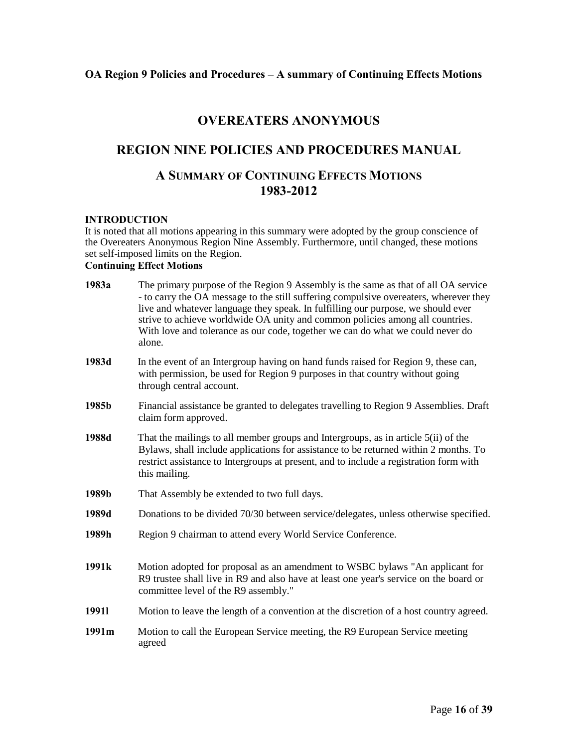# **OVEREATERS ANONYMOUS**

# **REGION NINE POLICIES AND PROCEDURES MANUAL**

# **A SUMMARY OF CONTINUING EFFECTS MOTIONS 1983-2012**

#### **INTRODUCTION**

It is noted that all motions appearing in this summary were adopted by the group conscience of the Overeaters Anonymous Region Nine Assembly. Furthermore, until changed, these motions set self-imposed limits on the Region.

# **Continuing Effect Motions**

| 1983a             | The primary purpose of the Region 9 Assembly is the same as that of all OA service<br>- to carry the OA message to the still suffering compulsive overeaters, wherever they<br>live and whatever language they speak. In fulfilling our purpose, we should ever<br>strive to achieve worldwide OA unity and common policies among all countries.<br>With love and tolerance as our code, together we can do what we could never do<br>alone. |
|-------------------|----------------------------------------------------------------------------------------------------------------------------------------------------------------------------------------------------------------------------------------------------------------------------------------------------------------------------------------------------------------------------------------------------------------------------------------------|
| 1983d             | In the event of an Intergroup having on hand funds raised for Region 9, these can,<br>with permission, be used for Region 9 purposes in that country without going<br>through central account.                                                                                                                                                                                                                                               |
| 1985b             | Financial assistance be granted to delegates travelling to Region 9 Assemblies. Draft<br>claim form approved.                                                                                                                                                                                                                                                                                                                                |
| 1988d             | That the mailings to all member groups and Intergroups, as in article 5(ii) of the<br>Bylaws, shall include applications for assistance to be returned within 2 months. To<br>restrict assistance to Intergroups at present, and to include a registration form with<br>this mailing.                                                                                                                                                        |
| 1989b             | That Assembly be extended to two full days.                                                                                                                                                                                                                                                                                                                                                                                                  |
| 1989d             | Donations to be divided 70/30 between service/delegates, unless otherwise specified.                                                                                                                                                                                                                                                                                                                                                         |
| 1989h             | Region 9 chairman to attend every World Service Conference.                                                                                                                                                                                                                                                                                                                                                                                  |
| 1991 <sub>k</sub> | Motion adopted for proposal as an amendment to WSBC bylaws "An applicant for<br>R9 trustee shall live in R9 and also have at least one year's service on the board or<br>committee level of the R9 assembly."                                                                                                                                                                                                                                |
| 19911             | Motion to leave the length of a convention at the discretion of a host country agreed.                                                                                                                                                                                                                                                                                                                                                       |
| 1991m             | Motion to call the European Service meeting, the R9 European Service meeting<br>agreed                                                                                                                                                                                                                                                                                                                                                       |
|                   |                                                                                                                                                                                                                                                                                                                                                                                                                                              |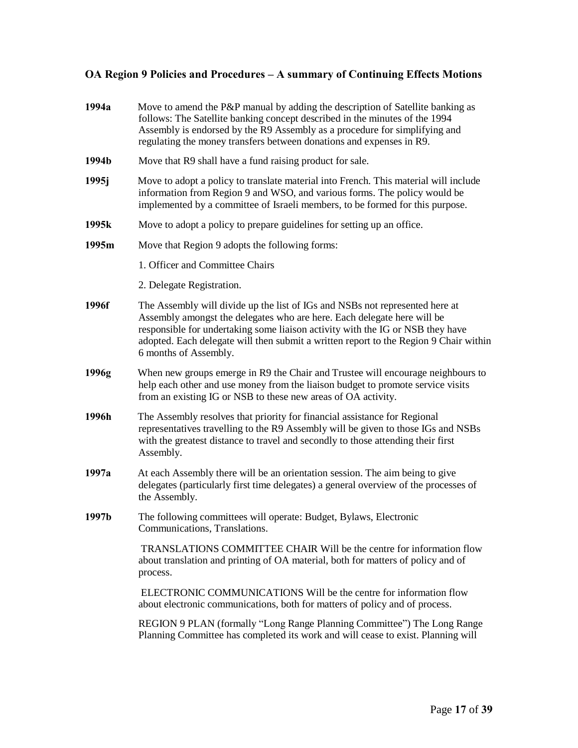| 1994a             | Move to amend the P&P manual by adding the description of Satellite banking as<br>follows: The Satellite banking concept described in the minutes of the 1994<br>Assembly is endorsed by the R9 Assembly as a procedure for simplifying and<br>regulating the money transfers between donations and expenses in R9.                                         |
|-------------------|-------------------------------------------------------------------------------------------------------------------------------------------------------------------------------------------------------------------------------------------------------------------------------------------------------------------------------------------------------------|
| 1994b             | Move that R9 shall have a fund raising product for sale.                                                                                                                                                                                                                                                                                                    |
| 1995 <sub>j</sub> | Move to adopt a policy to translate material into French. This material will include<br>information from Region 9 and WSO, and various forms. The policy would be<br>implemented by a committee of Israeli members, to be formed for this purpose.                                                                                                          |
| 1995k             | Move to adopt a policy to prepare guidelines for setting up an office.                                                                                                                                                                                                                                                                                      |
| 1995m             | Move that Region 9 adopts the following forms:                                                                                                                                                                                                                                                                                                              |
|                   | 1. Officer and Committee Chairs                                                                                                                                                                                                                                                                                                                             |
|                   | 2. Delegate Registration.                                                                                                                                                                                                                                                                                                                                   |
| 1996f             | The Assembly will divide up the list of IGs and NSBs not represented here at<br>Assembly amongst the delegates who are here. Each delegate here will be<br>responsible for undertaking some liaison activity with the IG or NSB they have<br>adopted. Each delegate will then submit a written report to the Region 9 Chair within<br>6 months of Assembly. |
| 1996g             | When new groups emerge in R9 the Chair and Trustee will encourage neighbours to<br>help each other and use money from the liaison budget to promote service visits<br>from an existing IG or NSB to these new areas of OA activity.                                                                                                                         |
| 1996h             | The Assembly resolves that priority for financial assistance for Regional<br>representatives travelling to the R9 Assembly will be given to those IGs and NSBs<br>with the greatest distance to travel and secondly to those attending their first<br>Assembly.                                                                                             |
| 1997a             | At each Assembly there will be an orientation session. The aim being to give<br>delegates (particularly first time delegates) a general overview of the processes of<br>the Assembly.                                                                                                                                                                       |
| 1997b             | The following committees will operate: Budget, Bylaws, Electronic<br>Communications, Translations.                                                                                                                                                                                                                                                          |
|                   | TRANSLATIONS COMMITTEE CHAIR Will be the centre for information flow<br>about translation and printing of OA material, both for matters of policy and of<br>process.                                                                                                                                                                                        |
|                   | ELECTRONIC COMMUNICATIONS Will be the centre for information flow<br>about electronic communications, both for matters of policy and of process.                                                                                                                                                                                                            |
|                   | REGION 9 PLAN (formally "Long Range Planning Committee") The Long Range<br>Planning Committee has completed its work and will cease to exist. Planning will                                                                                                                                                                                                 |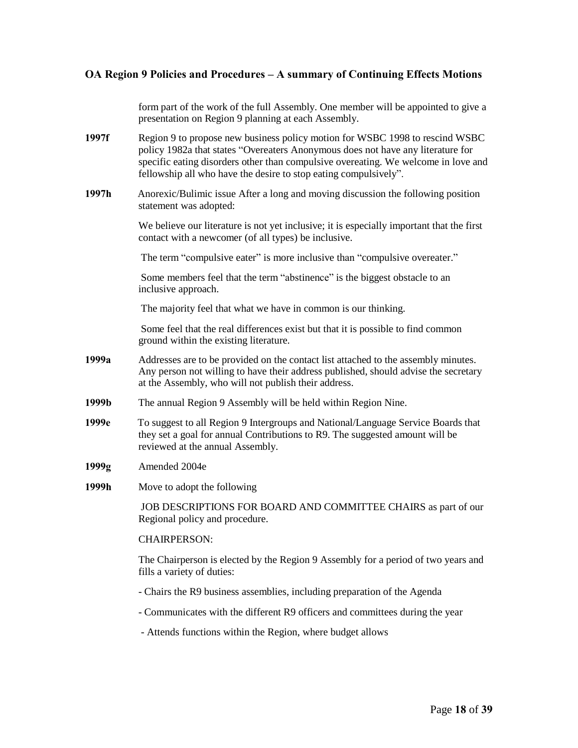form part of the work of the full Assembly. One member will be appointed to give a presentation on Region 9 planning at each Assembly.

- **1997f** Region 9 to propose new business policy motion for WSBC 1998 to rescind WSBC policy 1982a that states "Overeaters Anonymous does not have any literature for specific eating disorders other than compulsive overeating. We welcome in love and fellowship all who have the desire to stop eating compulsively".
- **1997h** Anorexic/Bulimic issue After a long and moving discussion the following position statement was adopted:

We believe our literature is not yet inclusive; it is especially important that the first contact with a newcomer (of all types) be inclusive.

The term "compulsive eater" is more inclusive than "compulsive overeater."

Some members feel that the term "abstinence" is the biggest obstacle to an inclusive approach.

The majority feel that what we have in common is our thinking.

Some feel that the real differences exist but that it is possible to find common ground within the existing literature.

- **1999a** Addresses are to be provided on the contact list attached to the assembly minutes. Any person not willing to have their address published, should advise the secretary at the Assembly, who will not publish their address.
- **1999b** The annual Region 9 Assembly will be held within Region Nine.
- **1999e** To suggest to all Region 9 Intergroups and National/Language Service Boards that they set a goal for annual Contributions to R9. The suggested amount will be reviewed at the annual Assembly.
- **1999g** Amended 2004e
- **1999h** Move to adopt the following

JOB DESCRIPTIONS FOR BOARD AND COMMITTEE CHAIRS as part of our Regional policy and procedure.

#### CHAIRPERSON:

The Chairperson is elected by the Region 9 Assembly for a period of two years and fills a variety of duties:

- Chairs the R9 business assemblies, including preparation of the Agenda
- Communicates with the different R9 officers and committees during the year
- Attends functions within the Region, where budget allows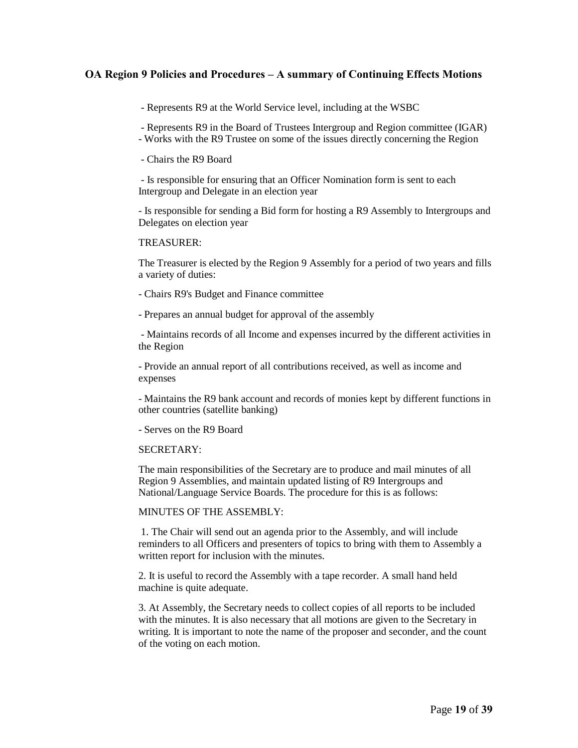- Represents R9 at the World Service level, including at the WSBC

- Represents R9 in the Board of Trustees Intergroup and Region committee (IGAR)

- Works with the R9 Trustee on some of the issues directly concerning the Region

- Chairs the R9 Board

- Is responsible for ensuring that an Officer Nomination form is sent to each Intergroup and Delegate in an election year

- Is responsible for sending a Bid form for hosting a R9 Assembly to Intergroups and Delegates on election year

#### TREASURER:

The Treasurer is elected by the Region 9 Assembly for a period of two years and fills a variety of duties:

- Chairs R9's Budget and Finance committee

- Prepares an annual budget for approval of the assembly

- Maintains records of all Income and expenses incurred by the different activities in the Region

- Provide an annual report of all contributions received, as well as income and expenses

- Maintains the R9 bank account and records of monies kept by different functions in other countries (satellite banking)

- Serves on the R9 Board

#### SECRETARY:

The main responsibilities of the Secretary are to produce and mail minutes of all Region 9 Assemblies, and maintain updated listing of R9 Intergroups and National/Language Service Boards. The procedure for this is as follows:

#### MINUTES OF THE ASSEMBLY:

1. The Chair will send out an agenda prior to the Assembly, and will include reminders to all Officers and presenters of topics to bring with them to Assembly a written report for inclusion with the minutes.

2. It is useful to record the Assembly with a tape recorder. A small hand held machine is quite adequate.

3. At Assembly, the Secretary needs to collect copies of all reports to be included with the minutes. It is also necessary that all motions are given to the Secretary in writing. It is important to note the name of the proposer and seconder, and the count of the voting on each motion.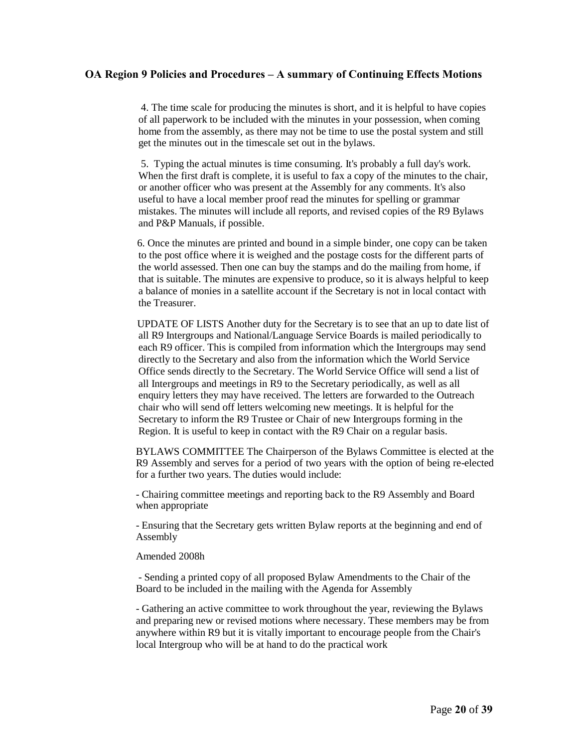4. The time scale for producing the minutes is short, and it is helpful to have copies of all paperwork to be included with the minutes in your possession, when coming home from the assembly, as there may not be time to use the postal system and still get the minutes out in the timescale set out in the bylaws.

5. Typing the actual minutes is time consuming. It's probably a full day's work. When the first draft is complete, it is useful to fax a copy of the minutes to the chair, or another officer who was present at the Assembly for any comments. It's also useful to have a local member proof read the minutes for spelling or grammar mistakes. The minutes will include all reports, and revised copies of the R9 Bylaws and P&P Manuals, if possible.

6. Once the minutes are printed and bound in a simple binder, one copy can be taken to the post office where it is weighed and the postage costs for the different parts of the world assessed. Then one can buy the stamps and do the mailing from home, if that is suitable. The minutes are expensive to produce, so it is always helpful to keep a balance of monies in a satellite account if the Secretary is not in local contact with the Treasurer.

UPDATE OF LISTS Another duty for the Secretary is to see that an up to date list of all R9 Intergroups and National/Language Service Boards is mailed periodically to each R9 officer. This is compiled from information which the Intergroups may send directly to the Secretary and also from the information which the World Service Office sends directly to the Secretary. The World Service Office will send a list of all Intergroups and meetings in R9 to the Secretary periodically, as well as all enquiry letters they may have received. The letters are forwarded to the Outreach chair who will send off letters welcoming new meetings. It is helpful for the Secretary to inform the R9 Trustee or Chair of new Intergroups forming in the Region. It is useful to keep in contact with the R9 Chair on a regular basis.

BYLAWS COMMITTEE The Chairperson of the Bylaws Committee is elected at the R9 Assembly and serves for a period of two years with the option of being re-elected for a further two years. The duties would include:

- Chairing committee meetings and reporting back to the R9 Assembly and Board when appropriate

- Ensuring that the Secretary gets written Bylaw reports at the beginning and end of Assembly

#### Amended 2008h

- Sending a printed copy of all proposed Bylaw Amendments to the Chair of the Board to be included in the mailing with the Agenda for Assembly

- Gathering an active committee to work throughout the year, reviewing the Bylaws and preparing new or revised motions where necessary. These members may be from anywhere within R9 but it is vitally important to encourage people from the Chair's local Intergroup who will be at hand to do the practical work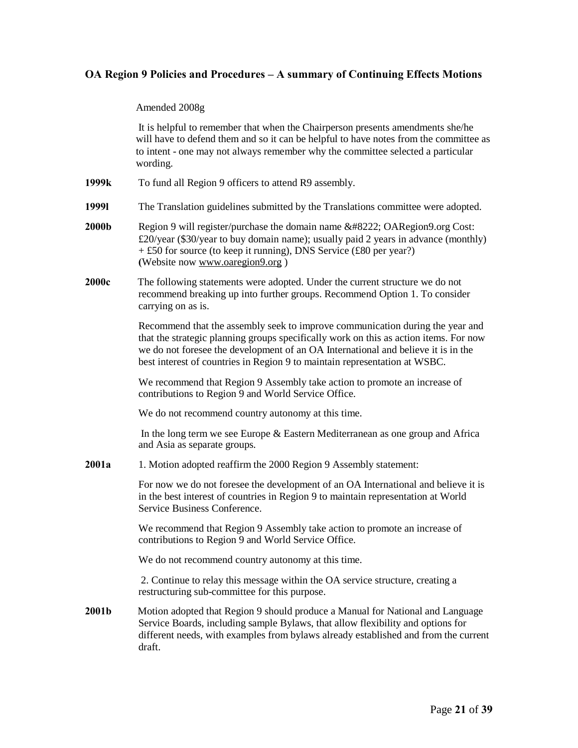#### Amended 2008g

It is helpful to remember that when the Chairperson presents amendments she/he will have to defend them and so it can be helpful to have notes from the committee as to intent - one may not always remember why the committee selected a particular wording.

- **1999k** To fund all Region 9 officers to attend R9 assembly.
- **1999l** The Translation guidelines submitted by the Translations committee were adopted.
- **2000b** Region 9 will register/purchase the domain name " OARegion9.org Cost: £20/year (\$30/year to buy domain name); usually paid 2 years in advance (monthly) + £50 for source (to keep it running), DNS Service (£80 per year?) **(**Website no[w www.oaregion9.org](http://www.oaregion9.org/) )
- **2000c** The following statements were adopted. Under the current structure we do not recommend breaking up into further groups. Recommend Option 1. To consider carrying on as is.

Recommend that the assembly seek to improve communication during the year and that the strategic planning groups specifically work on this as action items. For now we do not foresee the development of an OA International and believe it is in the best interest of countries in Region 9 to maintain representation at WSBC.

We recommend that Region 9 Assembly take action to promote an increase of contributions to Region 9 and World Service Office.

We do not recommend country autonomy at this time.

In the long term we see Europe & Eastern Mediterranean as one group and Africa and Asia as separate groups.

**2001a** 1. Motion adopted reaffirm the 2000 Region 9 Assembly statement:

For now we do not foresee the development of an OA International and believe it is in the best interest of countries in Region 9 to maintain representation at World Service Business Conference.

We recommend that Region 9 Assembly take action to promote an increase of contributions to Region 9 and World Service Office.

We do not recommend country autonomy at this time.

2. Continue to relay this message within the OA service structure, creating a restructuring sub-committee for this purpose.

**2001b** Motion adopted that Region 9 should produce a Manual for National and Language Service Boards, including sample Bylaws, that allow flexibility and options for different needs, with examples from bylaws already established and from the current draft.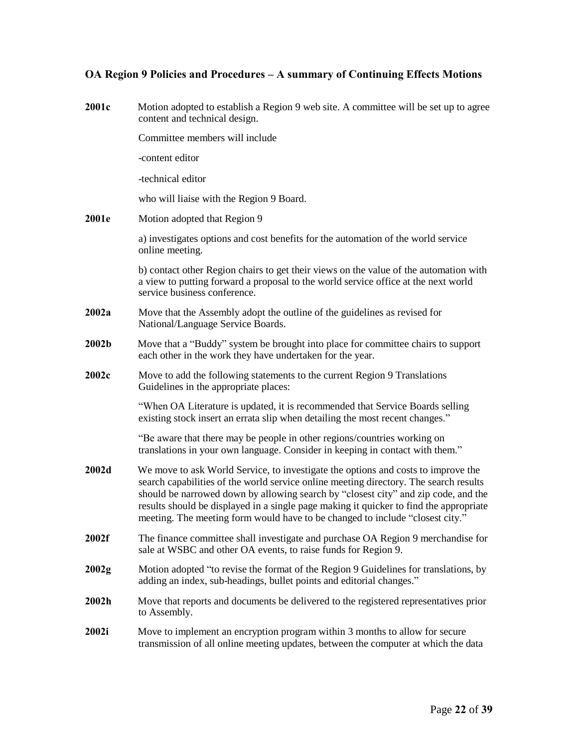| 2001c | Motion adopted to establish a Region 9 web site. A committee will be set up to agree<br>content and technical design.                                                                                                                                                                                                                                                                                                                       |
|-------|---------------------------------------------------------------------------------------------------------------------------------------------------------------------------------------------------------------------------------------------------------------------------------------------------------------------------------------------------------------------------------------------------------------------------------------------|
|       | Committee members will include                                                                                                                                                                                                                                                                                                                                                                                                              |
|       | -content editor                                                                                                                                                                                                                                                                                                                                                                                                                             |
|       | -technical editor                                                                                                                                                                                                                                                                                                                                                                                                                           |
|       | who will liaise with the Region 9 Board.                                                                                                                                                                                                                                                                                                                                                                                                    |
| 2001e | Motion adopted that Region 9                                                                                                                                                                                                                                                                                                                                                                                                                |
|       | a) investigates options and cost benefits for the automation of the world service<br>online meeting.                                                                                                                                                                                                                                                                                                                                        |
|       | b) contact other Region chairs to get their views on the value of the automation with<br>a view to putting forward a proposal to the world service office at the next world<br>service business conference.                                                                                                                                                                                                                                 |
| 2002a | Move that the Assembly adopt the outline of the guidelines as revised for<br>National/Language Service Boards.                                                                                                                                                                                                                                                                                                                              |
| 2002b | Move that a "Buddy" system be brought into place for committee chairs to support<br>each other in the work they have undertaken for the year.                                                                                                                                                                                                                                                                                               |
| 2002c | Move to add the following statements to the current Region 9 Translations<br>Guidelines in the appropriate places:                                                                                                                                                                                                                                                                                                                          |
|       | "When OA Literature is updated, it is recommended that Service Boards selling<br>existing stock insert an errata slip when detailing the most recent changes."                                                                                                                                                                                                                                                                              |
|       | "Be aware that there may be people in other regions/countries working on<br>translations in your own language. Consider in keeping in contact with them."                                                                                                                                                                                                                                                                                   |
| 2002d | We move to ask World Service, to investigate the options and costs to improve the<br>search capabilities of the world service online meeting directory. The search results<br>should be narrowed down by allowing search by "closest city" and zip code, and the<br>results should be displayed in a single page making it quicker to find the appropriate<br>meeting. The meeting form would have to be changed to include "closest city." |
| 2002f | The finance committee shall investigate and purchase OA Region 9 merchandise for<br>sale at WSBC and other OA events, to raise funds for Region 9.                                                                                                                                                                                                                                                                                          |
| 2002g | Motion adopted "to revise the format of the Region 9 Guidelines for translations, by<br>adding an index, sub-headings, bullet points and editorial changes."                                                                                                                                                                                                                                                                                |
| 2002h | Move that reports and documents be delivered to the registered representatives prior<br>to Assembly.                                                                                                                                                                                                                                                                                                                                        |
| 2002i | Move to implement an encryption program within 3 months to allow for secure<br>transmission of all online meeting updates, between the computer at which the data                                                                                                                                                                                                                                                                           |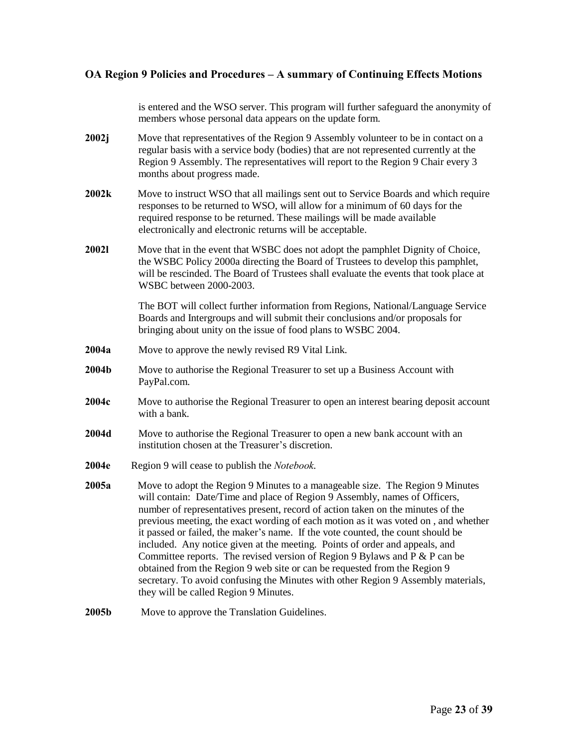is entered and the WSO server. This program will further safeguard the anonymity of members whose personal data appears on the update form.

- **2002j** Move that representatives of the Region 9 Assembly volunteer to be in contact on a regular basis with a service body (bodies) that are not represented currently at the Region 9 Assembly. The representatives will report to the Region 9 Chair every 3 months about progress made.
- **2002k** Move to instruct WSO that all mailings sent out to Service Boards and which require responses to be returned to WSO, will allow for a minimum of 60 days for the required response to be returned. These mailings will be made available electronically and electronic returns will be acceptable.
- **2002l** Move that in the event that WSBC does not adopt the pamphlet Dignity of Choice, the WSBC Policy 2000a directing the Board of Trustees to develop this pamphlet, will be rescinded. The Board of Trustees shall evaluate the events that took place at WSBC between 2000-2003.

The BOT will collect further information from Regions, National/Language Service Boards and Intergroups and will submit their conclusions and/or proposals for bringing about unity on the issue of food plans to WSBC 2004.

- **2004a** Move to approve the newly revised R9 Vital Link.
- **2004b** Move to authorise the Regional Treasurer to set up a Business Account with PayPal.com.
- **2004c** Move to authorise the Regional Treasurer to open an interest bearing deposit account with a bank.
- **2004d** Move to authorise the Regional Treasurer to open a new bank account with an institution chosen at the Treasurer's discretion.
- **2004e** Region 9 will cease to publish the *Notebook*.
- **2005a** Move to adopt the Region 9 Minutes to a manageable size. The Region 9 Minutes will contain: Date/Time and place of Region 9 Assembly, names of Officers, number of representatives present, record of action taken on the minutes of the previous meeting, the exact wording of each motion as it was voted on , and whether it passed or failed, the maker's name. If the vote counted, the count should be included. Any notice given at the meeting. Points of order and appeals, and Committee reports. The revised version of Region 9 Bylaws and P & P can be obtained from the Region 9 web site or can be requested from the Region 9 secretary. To avoid confusing the Minutes with other Region 9 Assembly materials, they will be called Region 9 Minutes.
- **2005b** Move to approve the Translation Guidelines.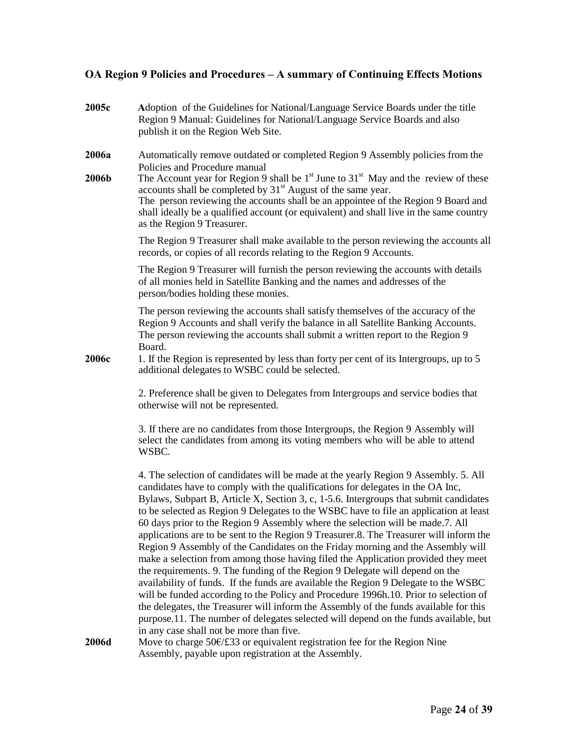**2005c A**doption of the Guidelines for National/Language Service Boards under the title Region 9 Manual: Guidelines for National/Language Service Boards and also publish it on the Region Web Site. **2006a** Automatically remove outdated or completed Region 9 Assembly policies from the Policies and Procedure manual

**2006b** The Account year for Region 9 shall be  $1<sup>st</sup>$  June to  $31<sup>st</sup>$  May and the review of these accounts shall be completed by 31<sup>st</sup> August of the same year. The person reviewing the accounts shall be an appointee of the Region 9 Board and shall ideally be a qualified account (or equivalent) and shall live in the same country as the Region 9 Treasurer.

> The Region 9 Treasurer shall make available to the person reviewing the accounts all records, or copies of all records relating to the Region 9 Accounts.

The Region 9 Treasurer will furnish the person reviewing the accounts with details of all monies held in Satellite Banking and the names and addresses of the person/bodies holding these monies.

The person reviewing the accounts shall satisfy themselves of the accuracy of the Region 9 Accounts and shall verify the balance in all Satellite Banking Accounts. The person reviewing the accounts shall submit a written report to the Region 9 Board.

**2006c** 1. If the Region is represented by less than forty per cent of its Intergroups, up to 5 additional delegates to WSBC could be selected.

> 2. Preference shall be given to Delegates from Intergroups and service bodies that otherwise will not be represented.

> 3. If there are no candidates from those Intergroups, the Region 9 Assembly will select the candidates from among its voting members who will be able to attend WSBC.

4. The selection of candidates will be made at the yearly Region 9 Assembly. 5. All candidates have to comply with the qualifications for delegates in the OA Inc, Bylaws, Subpart B, Article X, Section 3, c, 1-5.6. Intergroups that submit candidates to be selected as Region 9 Delegates to the WSBC have to file an application at least 60 days prior to the Region 9 Assembly where the selection will be made.7. All applications are to be sent to the Region 9 Treasurer.8. The Treasurer will inform the Region 9 Assembly of the Candidates on the Friday morning and the Assembly will make a selection from among those having filed the Application provided they meet the requirements. 9. The funding of the Region 9 Delegate will depend on the availability of funds. If the funds are available the Region 9 Delegate to the WSBC will be funded according to the Policy and Procedure 1996h.10. Prior to selection of the delegates, the Treasurer will inform the Assembly of the funds available for this purpose.11. The number of delegates selected will depend on the funds available, but in any case shall not be more than five.

**2006d** Move to charge 50€/£33 or equivalent registration fee for the Region Nine Assembly, payable upon registration at the Assembly.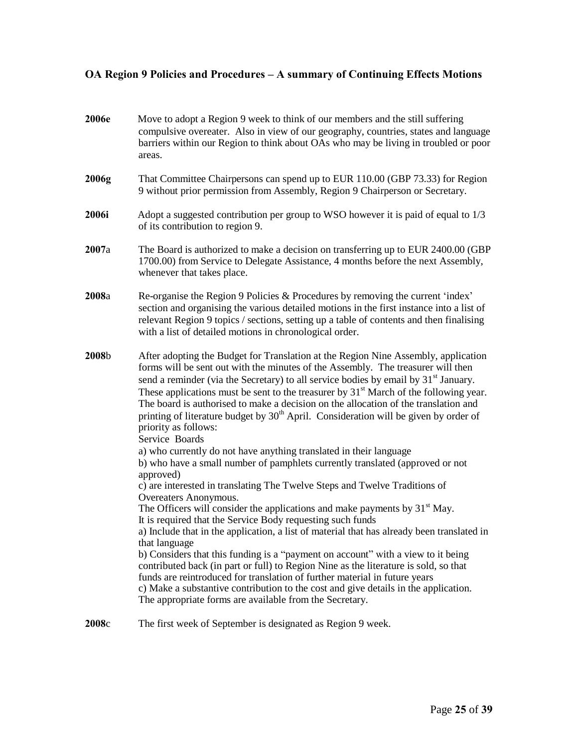| 2006e | Move to adopt a Region 9 week to think of our members and the still suffering<br>compulsive overeater. Also in view of our geography, countries, states and language<br>barriers within our Region to think about OAs who may be living in troubled or poor<br>areas.                                                                                                                                                                                                                                                                                                                           |
|-------|-------------------------------------------------------------------------------------------------------------------------------------------------------------------------------------------------------------------------------------------------------------------------------------------------------------------------------------------------------------------------------------------------------------------------------------------------------------------------------------------------------------------------------------------------------------------------------------------------|
| 2006g | That Committee Chairpersons can spend up to EUR 110.00 (GBP 73.33) for Region<br>9 without prior permission from Assembly, Region 9 Chairperson or Secretary.                                                                                                                                                                                                                                                                                                                                                                                                                                   |
| 2006i | Adopt a suggested contribution per group to WSO however it is paid of equal to 1/3<br>of its contribution to region 9.                                                                                                                                                                                                                                                                                                                                                                                                                                                                          |
| 2007a | The Board is authorized to make a decision on transferring up to EUR 2400.00 (GBP)<br>1700.00) from Service to Delegate Assistance, 4 months before the next Assembly,<br>whenever that takes place.                                                                                                                                                                                                                                                                                                                                                                                            |
| 2008a | Re-organise the Region 9 Policies & Procedures by removing the current 'index'<br>section and organising the various detailed motions in the first instance into a list of<br>relevant Region 9 topics / sections, setting up a table of contents and then finalising<br>with a list of detailed motions in chronological order.                                                                                                                                                                                                                                                                |
| 2008b | After adopting the Budget for Translation at the Region Nine Assembly, application<br>forms will be sent out with the minutes of the Assembly. The treasurer will then<br>send a reminder (via the Secretary) to all service bodies by email by 31 <sup>st</sup> January.<br>These applications must be sent to the treasurer by $31st$ March of the following year.<br>The board is authorised to make a decision on the allocation of the translation and<br>printing of literature budget by $30th$ April. Consideration will be given by order of<br>priority as follows:<br>Service Boards |
|       | a) who currently do not have anything translated in their language<br>b) who have a small number of pamphlets currently translated (approved or not<br>approved)                                                                                                                                                                                                                                                                                                                                                                                                                                |
|       | c) are interested in translating The Twelve Steps and Twelve Traditions of                                                                                                                                                                                                                                                                                                                                                                                                                                                                                                                      |
|       | Overeaters Anonymous.<br>The Officers will consider the applications and make payments by $31st$ May.                                                                                                                                                                                                                                                                                                                                                                                                                                                                                           |
|       | It is required that the Service Body requesting such funds                                                                                                                                                                                                                                                                                                                                                                                                                                                                                                                                      |
|       | a) Include that in the application, a list of material that has already been translated in<br>that language                                                                                                                                                                                                                                                                                                                                                                                                                                                                                     |
|       | b) Considers that this funding is a "payment on account" with a view to it being<br>contributed back (in part or full) to Region Nine as the literature is sold, so that<br>funds are reintroduced for translation of further material in future years<br>c) Make a substantive contribution to the cost and give details in the application.<br>The appropriate forms are available from the Secretary.                                                                                                                                                                                        |
| 2008c | The first week of September is designated as Region 9 week.                                                                                                                                                                                                                                                                                                                                                                                                                                                                                                                                     |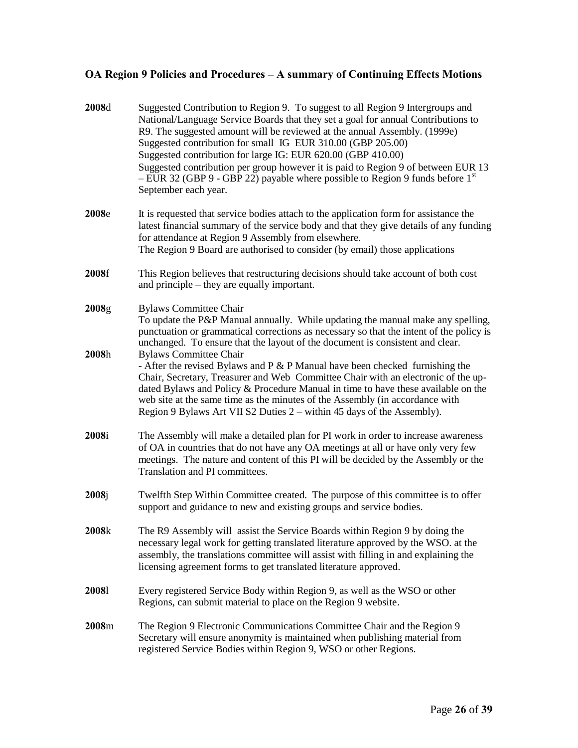| 2008d          | Suggested Contribution to Region 9. To suggest to all Region 9 Intergroups and<br>National/Language Service Boards that they set a goal for annual Contributions to<br>R9. The suggested amount will be reviewed at the annual Assembly. (1999e)<br>Suggested contribution for small IG EUR 310.00 (GBP 205.00)<br>Suggested contribution for large IG: EUR 620.00 (GBP 410.00)<br>Suggested contribution per group however it is paid to Region 9 of between EUR 13<br>$-$ EUR 32 (GBP 9 - GBP 22) payable where possible to Region 9 funds before 1 <sup>st</sup><br>September each year. |
|----------------|---------------------------------------------------------------------------------------------------------------------------------------------------------------------------------------------------------------------------------------------------------------------------------------------------------------------------------------------------------------------------------------------------------------------------------------------------------------------------------------------------------------------------------------------------------------------------------------------|
| 2008e          | It is requested that service bodies attach to the application form for assistance the<br>latest financial summary of the service body and that they give details of any funding<br>for attendance at Region 9 Assembly from elsewhere.<br>The Region 9 Board are authorised to consider (by email) those applications                                                                                                                                                                                                                                                                       |
| 2008f          | This Region believes that restructuring decisions should take account of both cost<br>and principle – they are equally important.                                                                                                                                                                                                                                                                                                                                                                                                                                                           |
| 2008g<br>2008h | <b>Bylaws Committee Chair</b><br>To update the P&P Manual annually. While updating the manual make any spelling,<br>punctuation or grammatical corrections as necessary so that the intent of the policy is<br>unchanged. To ensure that the layout of the document is consistent and clear.<br><b>Bylaws Committee Chair</b>                                                                                                                                                                                                                                                               |
|                | - After the revised Bylaws and $P \& P$ Manual have been checked furnishing the<br>Chair, Secretary, Treasurer and Web Committee Chair with an electronic of the up-<br>dated Bylaws and Policy & Procedure Manual in time to have these available on the<br>web site at the same time as the minutes of the Assembly (in accordance with<br>Region 9 Bylaws Art VII S2 Duties 2 – within 45 days of the Assembly).                                                                                                                                                                         |
| 2008i          | The Assembly will make a detailed plan for PI work in order to increase awareness<br>of OA in countries that do not have any OA meetings at all or have only very few<br>meetings. The nature and content of this PI will be decided by the Assembly or the<br>Translation and PI committees.                                                                                                                                                                                                                                                                                               |
| 2008j          | Twelfth Step Within Committee created. The purpose of this committee is to offer<br>support and guidance to new and existing groups and service bodies.                                                                                                                                                                                                                                                                                                                                                                                                                                     |
| 2008k          | The R9 Assembly will assist the Service Boards within Region 9 by doing the<br>necessary legal work for getting translated literature approved by the WSO. at the<br>assembly, the translations committee will assist with filling in and explaining the<br>licensing agreement forms to get translated literature approved.                                                                                                                                                                                                                                                                |
| 20081          | Every registered Service Body within Region 9, as well as the WSO or other<br>Regions, can submit material to place on the Region 9 website.                                                                                                                                                                                                                                                                                                                                                                                                                                                |
| 2008m          | The Region 9 Electronic Communications Committee Chair and the Region 9<br>Secretary will ensure anonymity is maintained when publishing material from<br>registered Service Bodies within Region 9, WSO or other Regions.                                                                                                                                                                                                                                                                                                                                                                  |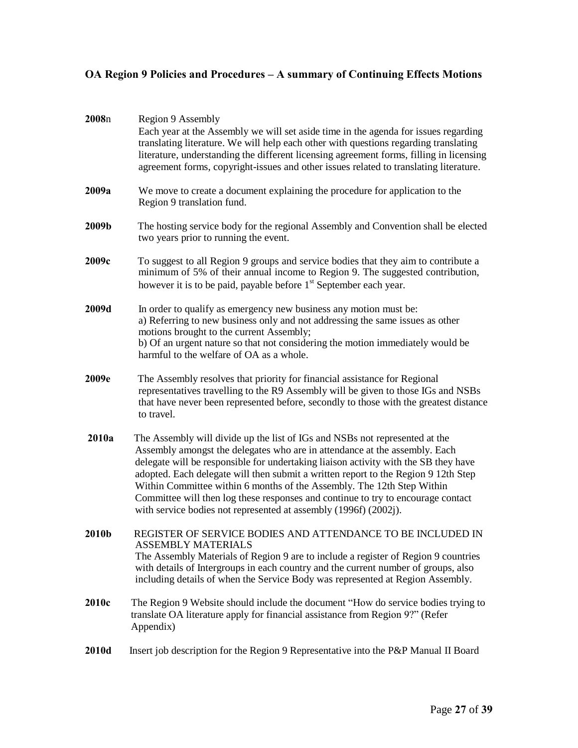| 2008n | Region 9 Assembly<br>Each year at the Assembly we will set aside time in the agenda for issues regarding<br>translating literature. We will help each other with questions regarding translating<br>literature, understanding the different licensing agreement forms, filling in licensing<br>agreement forms, copyright-issues and other issues related to translating literature.                                                                                                                                                                                     |
|-------|--------------------------------------------------------------------------------------------------------------------------------------------------------------------------------------------------------------------------------------------------------------------------------------------------------------------------------------------------------------------------------------------------------------------------------------------------------------------------------------------------------------------------------------------------------------------------|
| 2009a | We move to create a document explaining the procedure for application to the<br>Region 9 translation fund.                                                                                                                                                                                                                                                                                                                                                                                                                                                               |
| 2009b | The hosting service body for the regional Assembly and Convention shall be elected<br>two years prior to running the event.                                                                                                                                                                                                                                                                                                                                                                                                                                              |
| 2009c | To suggest to all Region 9 groups and service bodies that they aim to contribute a<br>minimum of 5% of their annual income to Region 9. The suggested contribution,<br>however it is to be paid, payable before 1 <sup>st</sup> September each year.                                                                                                                                                                                                                                                                                                                     |
| 2009d | In order to qualify as emergency new business any motion must be:<br>a) Referring to new business only and not addressing the same issues as other<br>motions brought to the current Assembly;<br>b) Of an urgent nature so that not considering the motion immediately would be<br>harmful to the welfare of OA as a whole.                                                                                                                                                                                                                                             |
| 2009e | The Assembly resolves that priority for financial assistance for Regional<br>representatives travelling to the R9 Assembly will be given to those IGs and NSBs<br>that have never been represented before, secondly to those with the greatest distance<br>to travel.                                                                                                                                                                                                                                                                                                    |
| 2010a | The Assembly will divide up the list of IGs and NSBs not represented at the<br>Assembly amongst the delegates who are in attendance at the assembly. Each<br>delegate will be responsible for undertaking liaison activity with the SB they have<br>adopted. Each delegate will then submit a written report to the Region 9 12th Step<br>Within Committee within 6 months of the Assembly. The 12th Step Within<br>Committee will then log these responses and continue to try to encourage contact<br>with service bodies not represented at assembly (1996f) (2002j). |
| 2010b | REGISTER OF SERVICE BODIES AND ATTENDANCE TO BE INCLUDED IN<br><b>ASSEMBLY MATERIALS</b><br>The Assembly Materials of Region 9 are to include a register of Region 9 countries<br>with details of Intergroups in each country and the current number of groups, also<br>including details of when the Service Body was represented at Region Assembly.                                                                                                                                                                                                                   |
| 2010c | The Region 9 Website should include the document "How do service bodies trying to<br>translate OA literature apply for financial assistance from Region 9?" (Refer<br>Appendix)                                                                                                                                                                                                                                                                                                                                                                                          |
| 2010d | Insert job description for the Region 9 Representative into the P&P Manual II Board                                                                                                                                                                                                                                                                                                                                                                                                                                                                                      |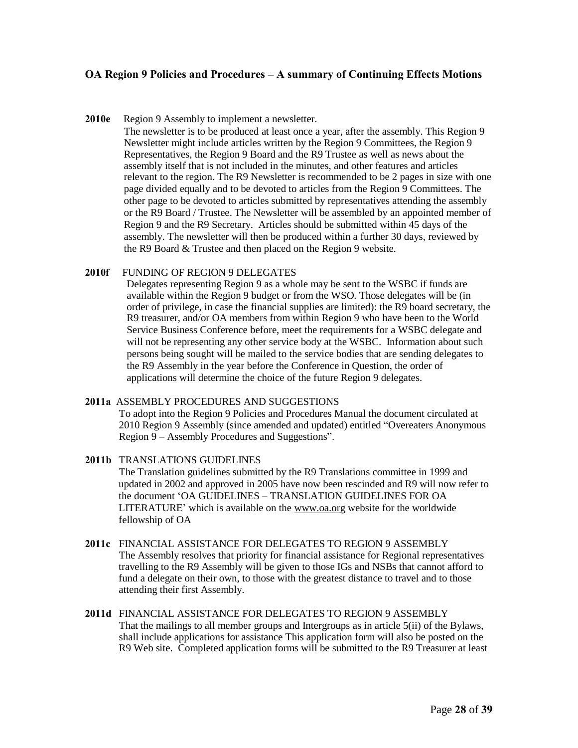#### **2010e** Region 9 Assembly to implement a newsletter.

The newsletter is to be produced at least once a year, after the assembly. This Region 9 Newsletter might include articles written by the Region 9 Committees, the Region 9 Representatives, the Region 9 Board and the R9 Trustee as well as news about the assembly itself that is not included in the minutes, and other features and articles relevant to the region. The R9 Newsletter is recommended to be 2 pages in size with one page divided equally and to be devoted to articles from the Region 9 Committees. The other page to be devoted to articles submitted by representatives attending the assembly or the R9 Board / Trustee. The Newsletter will be assembled by an appointed member of Region 9 and the R9 Secretary. Articles should be submitted within 45 days of the assembly. The newsletter will then be produced within a further 30 days, reviewed by the R9 Board & Trustee and then placed on the Region 9 website.

#### **2010f** FUNDING OF REGION 9 DELEGATES

Delegates representing Region 9 as a whole may be sent to the WSBC if funds are available within the Region 9 budget or from the WSO. Those delegates will be (in order of privilege, in case the financial supplies are limited): the R9 board secretary, the R9 treasurer, and/or OA members from within Region 9 who have been to the World Service Business Conference before, meet the requirements for a WSBC delegate and will not be representing any other service body at the WSBC. Information about such persons being sought will be mailed to the service bodies that are sending delegates to the R9 Assembly in the year before the Conference in Question, the order of applications will determine the choice of the future Region 9 delegates.

#### **2011a** ASSEMBLY PROCEDURES AND SUGGESTIONS

To adopt into the Region 9 Policies and Procedures Manual the document circulated at 2010 Region 9 Assembly (since amended and updated) entitled "Overeaters Anonymous Region 9 – Assembly Procedures and Suggestions".

#### **2011b** TRANSLATIONS GUIDELINES

The Translation guidelines submitted by the R9 Translations committee in 1999 and updated in 2002 and approved in 2005 have now been rescinded and R9 will now refer to the document 'OA GUIDELINES – TRANSLATION GUIDELINES FOR OA LITERATURE' which is available on the [www.oa.org](http://www.oa.org/) website for the worldwide fellowship of OA

#### **2011c** FINANCIAL ASSISTANCE FOR DELEGATES TO REGION 9 ASSEMBLY The Assembly resolves that priority for financial assistance for Regional representatives travelling to the R9 Assembly will be given to those IGs and NSBs that cannot afford to fund a delegate on their own, to those with the greatest distance to travel and to those attending their first Assembly.

**2011d** FINANCIAL ASSISTANCE FOR DELEGATES TO REGION 9 ASSEMBLY That the mailings to all member groups and Intergroups as in article 5(ii) of the Bylaws, shall include applications for assistance This application form will also be posted on the R9 Web site. Completed application forms will be submitted to the R9 Treasurer at least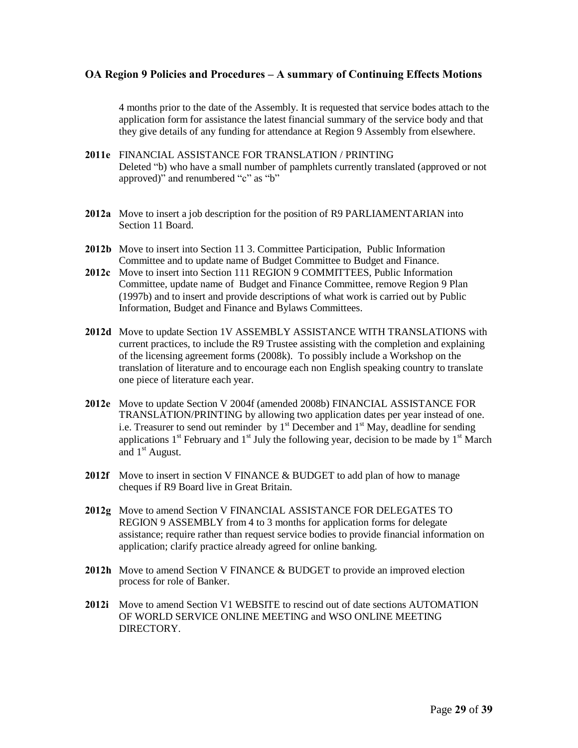4 months prior to the date of the Assembly. It is requested that service bodes attach to the application form for assistance the latest financial summary of the service body and that they give details of any funding for attendance at Region 9 Assembly from elsewhere.

- **2011e** FINANCIAL ASSISTANCE FOR TRANSLATION / PRINTING Deleted "b) who have a small number of pamphlets currently translated (approved or not approved)" and renumbered "c" as "b"
- **2012a** Move to insert a job description for the position of R9 PARLIAMENTARIAN into Section 11 Board.
- **2012b** Move to insert into Section 11 3. Committee Participation, Public Information Committee and to update name of Budget Committee to Budget and Finance.
- **2012c** Move to insert into Section 111 REGION 9 COMMITTEES, Public Information Committee, update name of Budget and Finance Committee, remove Region 9 Plan (1997b) and to insert and provide descriptions of what work is carried out by Public Information, Budget and Finance and Bylaws Committees.
- **2012d** Move to update Section 1V ASSEMBLY ASSISTANCE WITH TRANSLATIONS with current practices, to include the R9 Trustee assisting with the completion and explaining of the licensing agreement forms (2008k). To possibly include a Workshop on the translation of literature and to encourage each non English speaking country to translate one piece of literature each year.
- **2012e** Move to update Section V 2004f (amended 2008b) FINANCIAL ASSISTANCE FOR TRANSLATION/PRINTING by allowing two application dates per year instead of one. i.e. Treasurer to send out reminder by  $1<sup>st</sup>$  December and  $1<sup>st</sup>$  May, deadline for sending applications  $1<sup>st</sup>$  February and  $1<sup>st</sup>$  July the following year, decision to be made by  $1<sup>st</sup>$  March and  $1<sup>st</sup>$  August.
- **2012f** Move to insert in section V FINANCE & BUDGET to add plan of how to manage cheques if R9 Board live in Great Britain.
- **2012g** Move to amend Section V FINANCIAL ASSISTANCE FOR DELEGATES TO REGION 9 ASSEMBLY from 4 to 3 months for application forms for delegate assistance; require rather than request service bodies to provide financial information on application; clarify practice already agreed for online banking.
- **2012h** Move to amend Section V FINANCE & BUDGET to provide an improved election process for role of Banker.
- **2012i** Move to amend Section V1 WEBSITE to rescind out of date sections AUTOMATION OF WORLD SERVICE ONLINE MEETING and WSO ONLINE MEETING DIRECTORY.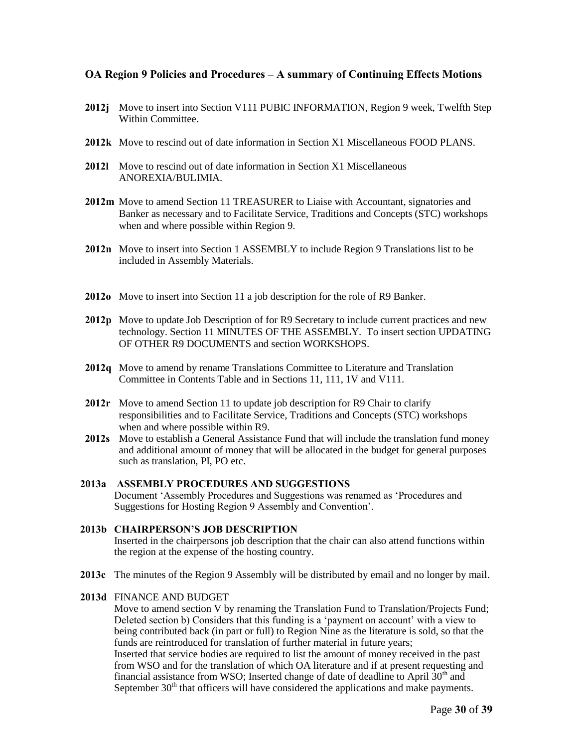- **2012j** Move to insert into Section V111 PUBIC INFORMATION, Region 9 week, Twelfth Step Within Committee.
- **2012k** Move to rescind out of date information in Section X1 Miscellaneous FOOD PLANS.
- **2012l** Move to rescind out of date information in Section X1 Miscellaneous ANOREXIA/BULIMIA.
- **2012m** Move to amend Section 11 TREASURER to Liaise with Accountant, signatories and Banker as necessary and to Facilitate Service, Traditions and Concepts (STC) workshops when and where possible within Region 9.
- **2012n** Move to insert into Section 1 ASSEMBLY to include Region 9 Translations list to be included in Assembly Materials.
- **2012o** Move to insert into Section 11 a job description for the role of R9 Banker.
- **2012p** Move to update Job Description of for R9 Secretary to include current practices and new technology. Section 11 MINUTES OF THE ASSEMBLY. To insert section UPDATING OF OTHER R9 DOCUMENTS and section WORKSHOPS.
- **2012q** Move to amend by rename Translations Committee to Literature and Translation Committee in Contents Table and in Sections 11, 111, 1V and V111.
- **2012r** Move to amend Section 11 to update job description for R9 Chair to clarify responsibilities and to Facilitate Service, Traditions and Concepts (STC) workshops when and where possible within R9.
- **2012s** Move to establish a General Assistance Fund that will include the translation fund money and additional amount of money that will be allocated in the budget for general purposes such as translation, PI, PO etc.
- **2013a ASSEMBLY PROCEDURES AND SUGGESTIONS** Document 'Assembly Procedures and Suggestions was renamed as 'Procedures and Suggestions for Hosting Region 9 Assembly and Convention'.

### **2013b CHAIRPERSON'S JOB DESCRIPTION** Inserted in the chairpersons job description that the chair can also attend functions within the region at the expense of the hosting country.

**2013c** The minutes of the Region 9 Assembly will be distributed by email and no longer by mail.

### **2013d** FINANCE AND BUDGET

Move to amend section V by renaming the Translation Fund to Translation/Projects Fund; Deleted section b) Considers that this funding is a 'payment on account' with a view to being contributed back (in part or full) to Region Nine as the literature is sold, so that the funds are reintroduced for translation of further material in future years; Inserted that service bodies are required to list the amount of money received in the past from WSO and for the translation of which OA literature and if at present requesting and financial assistance from WSO; Inserted change of date of deadline to April  $30<sup>th</sup>$  and September  $30<sup>th</sup>$  that officers will have considered the applications and make payments.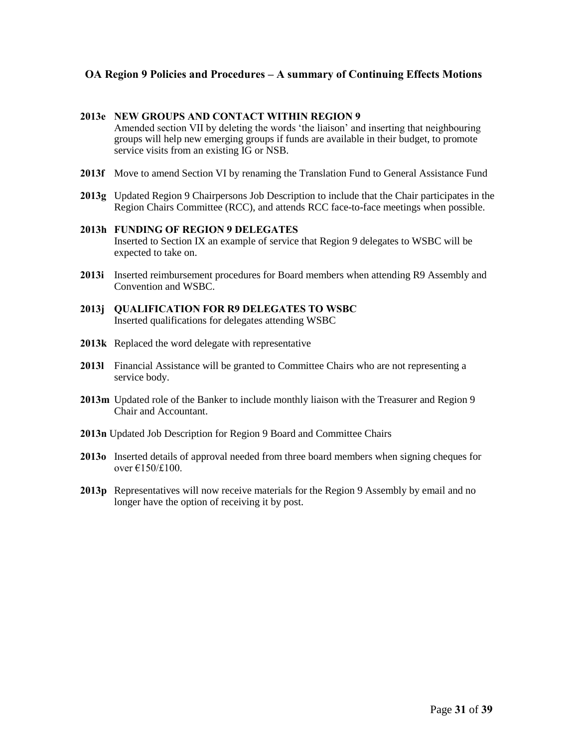#### **2013e NEW GROUPS AND CONTACT WITHIN REGION 9**

Amended section VII by deleting the words 'the liaison' and inserting that neighbouring groups will help new emerging groups if funds are available in their budget, to promote service visits from an existing IG or NSB.

- **2013f** Move to amend Section VI by renaming the Translation Fund to General Assistance Fund
- **2013g** Updated Region 9 Chairpersons Job Description to include that the Chair participates in the Region Chairs Committee (RCC), and attends RCC face-to-face meetings when possible.

#### **2013h FUNDING OF REGION 9 DELEGATES** Inserted to Section IX an example of service that Region 9 delegates to WSBC will be expected to take on.

- **2013i** Inserted reimbursement procedures for Board members when attending R9 Assembly and Convention and WSBC.
- **2013j QUALIFICATION FOR R9 DELEGATES TO WSBC** Inserted qualifications for delegates attending WSBC
- **2013k** Replaced the word delegate with representative
- **2013l** Financial Assistance will be granted to Committee Chairs who are not representing a service body.
- 2013m Updated role of the Banker to include monthly liaison with the Treasurer and Region 9 Chair and Accountant.
- **2013n** Updated Job Description for Region 9 Board and Committee Chairs
- **2013o** Inserted details of approval needed from three board members when signing cheques for over €150/£100.
- **2013p** Representatives will now receive materials for the Region 9 Assembly by email and no longer have the option of receiving it by post.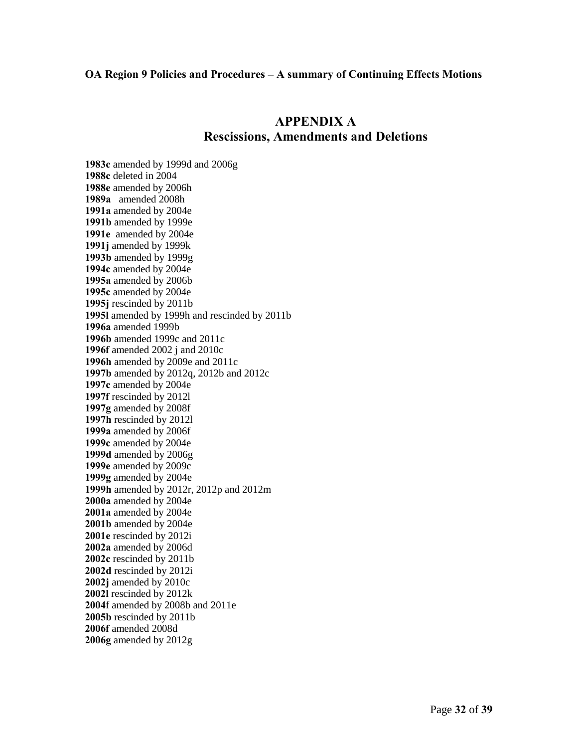# **APPENDIX A Rescissions, Amendments and Deletions**

**1983c** amended by 1999d and 2006g **1988c** deleted in 2004 **1988e** amended by 2006h **1989a** amended 2008h **1991a** amended by 2004e **1991b** amended by 1999e **1991e** amended by 2004e **1991j** amended by 1999k **1993b** amended by 1999g **1994c** amended by 2004e **1995a** amended by 2006b **1995c** amended by 2004e **1995j** rescinded by 2011b **1995l** amended by 1999h and rescinded by 2011b **1996a** amended 1999b **1996b** amended 1999c and 2011c **1996f** amended 2002 j and 2010c **1996h** amended by 2009e and 2011c **1997b** amended by 2012q, 2012b and 2012c **1997c** amended by 2004e **1997f** rescinded by 2012l **1997g** amended by 2008f **1997h** rescinded by 2012l **1999a** amended by 2006f **1999c** amended by 2004e **1999d** amended by 2006g **1999e** amended by 2009c **1999g** amended by 2004e **1999h** amended by 2012r, 2012p and 2012m **2000a** amended by 2004e **2001a** amended by 2004e **2001b** amended by 2004e **2001e** rescinded by 2012i **2002a** amended by 2006d **2002c** rescinded by 2011b **2002d** rescinded by 2012i **2002j** amended by 2010c **2002l** rescinded by 2012k **2004**f amended by 2008b and 2011e **2005b** rescinded by 2011b **2006f** amended 2008d **2006g** amended by 2012g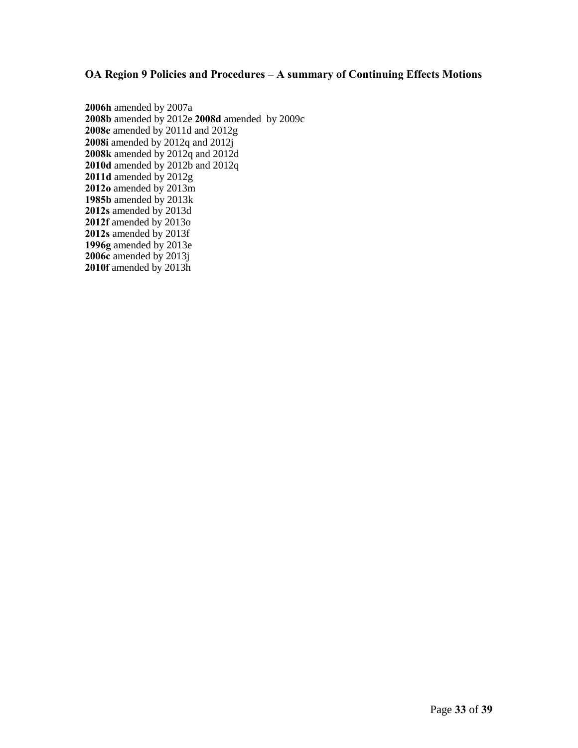**2006h** amended by 2007a **2008b** amended by 2012e **2008d** amended by 2009c **2008e** amended by 2011d and 2012g **2008i** amended by 2012q and 2012j **2008k** amended by 2012q and 2012d **2010d** amended by 2012b and 2012q **2011d** amended by 2012g **2012o** amended by 2013m **1985b** amended by 2013k **2012s** amended by 2013d **2012f** amended by 2013o **2012s** amended by 2013f **1996g** amended by 2013e **2006c** amended by 2013j **2010f** amended by 2013h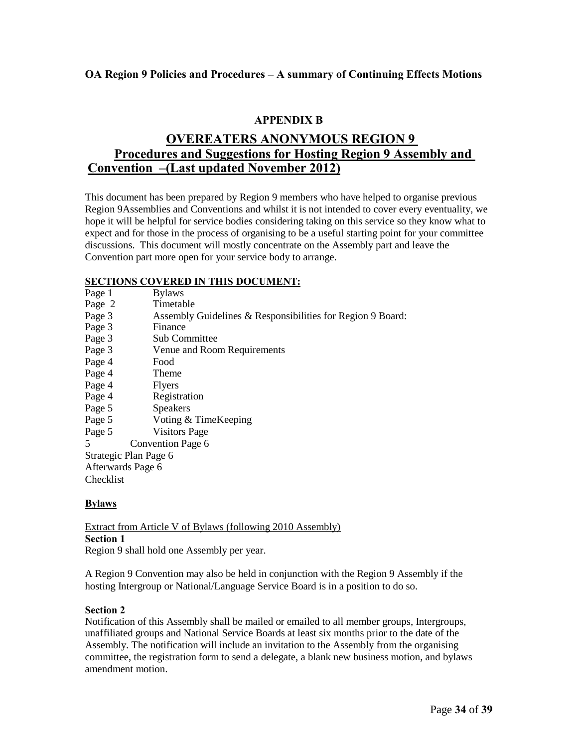# **APPENDIX B**

# **OVEREATERS ANONYMOUS REGION 9 Procedures and Suggestions for Hosting Region 9 Assembly and Convention –(Last updated November 2012)**

This document has been prepared by Region 9 members who have helped to organise previous Region 9Assemblies and Conventions and whilst it is not intended to cover every eventuality, we hope it will be helpful for service bodies considering taking on this service so they know what to expect and for those in the process of organising to be a useful starting point for your committee discussions. This document will mostly concentrate on the Assembly part and leave the Convention part more open for your service body to arrange.

# **SECTIONS COVERED IN THIS DOCUMENT:**

| SECTIONS COVERED IN THIS DOCUMENT: |                                                            |  |
|------------------------------------|------------------------------------------------------------|--|
| Page 1                             | <b>Bylaws</b>                                              |  |
| Page 2                             | Timetable                                                  |  |
| Page 3                             | Assembly Guidelines & Responsibilities for Region 9 Board: |  |
| Page 3                             | Finance                                                    |  |
| Page 3                             | <b>Sub Committee</b>                                       |  |
| Page 3                             | Venue and Room Requirements                                |  |
| Page 4                             | Food                                                       |  |
| Page 4                             | Theme                                                      |  |
| Page 4                             | <b>Flyers</b>                                              |  |
| Page 4                             | Registration                                               |  |
| Page 5                             | <b>Speakers</b>                                            |  |
| Page 5                             | Voting & TimeKeeping                                       |  |
| Page 5                             | <b>Visitors Page</b>                                       |  |
| 5                                  | Convention Page 6                                          |  |
| Strategic Plan Page 6              |                                                            |  |
| Afterwards Page 6                  |                                                            |  |
| Checklist                          |                                                            |  |
|                                    |                                                            |  |

# **Bylaws**

Extract from Article V of Bylaws (following 2010 Assembly) **Section 1** Region 9 shall hold one Assembly per year.

A Region 9 Convention may also be held in conjunction with the Region 9 Assembly if the hosting Intergroup or National/Language Service Board is in a position to do so.

### **Section 2**

Notification of this Assembly shall be mailed or emailed to all member groups, Intergroups, unaffiliated groups and National Service Boards at least six months prior to the date of the Assembly. The notification will include an invitation to the Assembly from the organising committee, the registration form to send a delegate, a blank new business motion, and bylaws amendment motion.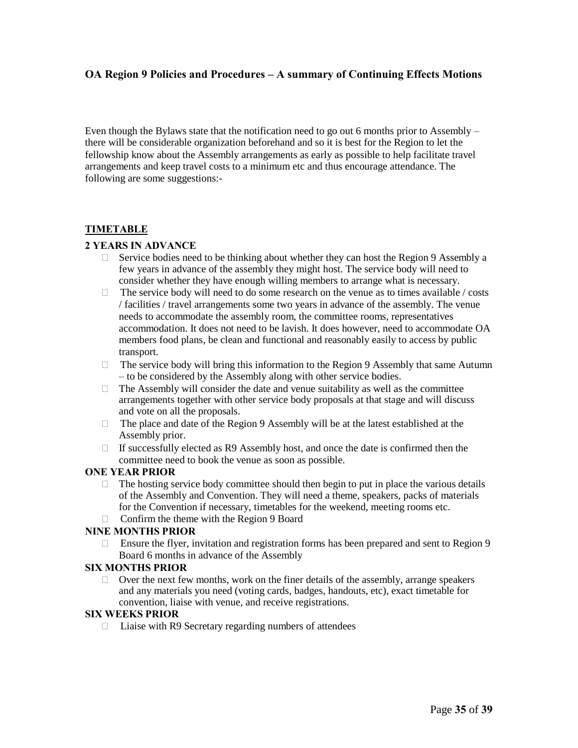Even though the Bylaws state that the notification need to go out 6 months prior to Assembly – there will be considerable organization beforehand and so it is best for the Region to let the fellowship know about the Assembly arrangements as early as possible to help facilitate travel arrangements and keep travel costs to a minimum etc and thus encourage attendance. The following are some suggestions:-

# **TIMETABLE**

### **2 YEARS IN ADVANCE**

- $\Box$  Service bodies need to be thinking about whether they can host the Region 9 Assembly a few years in advance of the assembly they might host. The service body will need to consider whether they have enough willing members to arrange what is necessary.
- $\Box$  The service body will need to do some research on the venue as to times available / costs / facilities / travel arrangements some two years in advance of the assembly. The venue needs to accommodate the assembly room, the committee rooms, representatives accommodation. It does not need to be lavish. It does however, need to accommodate OA members food plans, be clean and functional and reasonably easily to access by public transport.
- $\Box$  The service body will bring this information to the Region 9 Assembly that same Autumn – to be considered by the Assembly along with other service bodies.
- $\Box$  The Assembly will consider the date and venue suitability as well as the committee arrangements together with other service body proposals at that stage and will discuss and vote on all the proposals.
- $\Box$  The place and date of the Region 9 Assembly will be at the latest established at the Assembly prior.
- $\Box$  If successfully elected as R9 Assembly host, and once the date is confirmed then the committee need to book the venue as soon as possible.

#### **ONE YEAR PRIOR**

- $\Box$  The hosting service body committee should then begin to put in place the various details of the Assembly and Convention. They will need a theme, speakers, packs of materials for the Convention if necessary, timetables for the weekend, meeting rooms etc.
- $\Box$  Confirm the theme with the Region 9 Board

#### **NINE MONTHS PRIOR**

 $\Box$  Ensure the flyer, invitation and registration forms has been prepared and sent to Region 9 Board 6 months in advance of the Assembly

#### **SIX MONTHS PRIOR**

 $\Box$  Over the next few months, work on the finer details of the assembly, arrange speakers and any materials you need (voting cards, badges, handouts, etc), exact timetable for convention, liaise with venue, and receive registrations.

#### **SIX WEEKS PRIOR**

 $\Box$  Liaise with R9 Secretary regarding numbers of attendees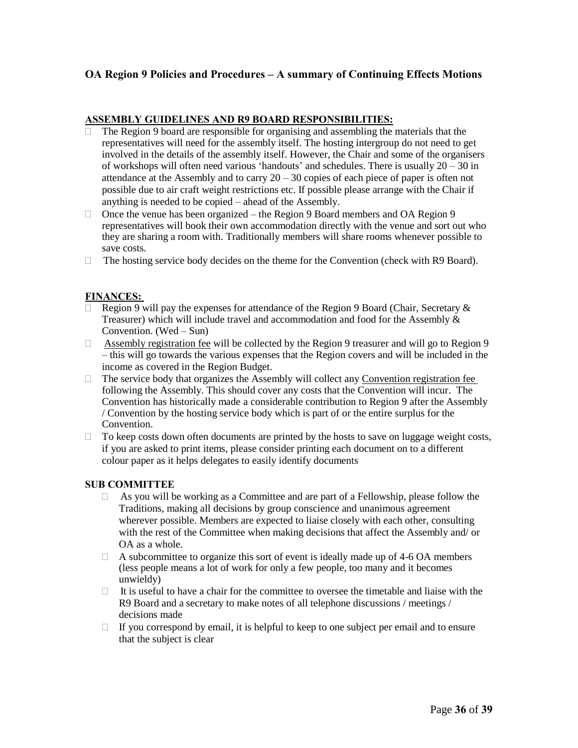### **ASSEMBLY GUIDELINES AND R9 BOARD RESPONSIBILITIES:**

- The Region 9 board are responsible for organising and assembling the materials that the representatives will need for the assembly itself. The hosting intergroup do not need to get involved in the details of the assembly itself. However, the Chair and some of the organisers of workshops will often need various 'handouts' and schedules. There is usually 20 – 30 in attendance at the Assembly and to carry  $20 - 30$  copies of each piece of paper is often not possible due to air craft weight restrictions etc. If possible please arrange with the Chair if anything is needed to be copied – ahead of the Assembly.
- $\Box$  Once the venue has been organized the Region 9 Board members and OA Region 9 representatives will book their own accommodation directly with the venue and sort out who they are sharing a room with. Traditionally members will share rooms whenever possible to save costs.
- $\Box$  The hosting service body decides on the theme for the Convention (check with R9 Board).

# **FINANCES:**

- Region 9 will pay the expenses for attendance of the Region 9 Board (Chair, Secretary & Treasurer) which will include travel and accommodation and food for the Assembly & Convention. (Wed – Sun)
- $\Box$  Assembly registration fee will be collected by the Region 9 treasurer and will go to Region 9 – this will go towards the various expenses that the Region covers and will be included in the income as covered in the Region Budget.
- $\Box$  The service body that organizes the Assembly will collect any Convention registration fee following the Assembly. This should cover any costs that the Convention will incur. The Convention has historically made a considerable contribution to Region 9 after the Assembly / Convention by the hosting service body which is part of or the entire surplus for the Convention.
- $\Box$  To keep costs down often documents are printed by the hosts to save on luggage weight costs, if you are asked to print items, please consider printing each document on to a different colour paper as it helps delegates to easily identify documents

#### **SUB COMMITTEE**

- $\Box$  As you will be working as a Committee and are part of a Fellowship, please follow the Traditions, making all decisions by group conscience and unanimous agreement wherever possible. Members are expected to liaise closely with each other, consulting with the rest of the Committee when making decisions that affect the Assembly and/ or OA as a whole.
- $\Box$  A subcommittee to organize this sort of event is ideally made up of 4-6 OA members (less people means a lot of work for only a few people, too many and it becomes unwieldy)
- $\Box$  It is useful to have a chair for the committee to oversee the timetable and liaise with the R9 Board and a secretary to make notes of all telephone discussions / meetings / decisions made
- $\Box$  If you correspond by email, it is helpful to keep to one subject per email and to ensure that the subject is clear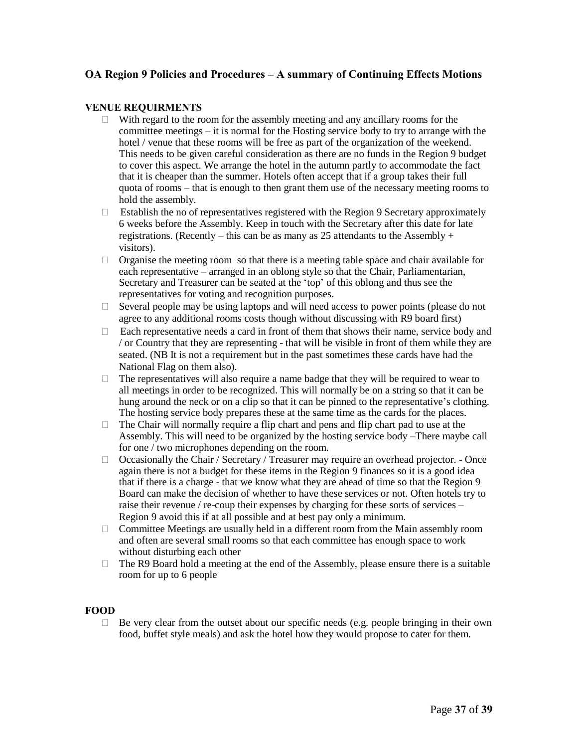#### **VENUE REQUIRMENTS**

- $\Box$  With regard to the room for the assembly meeting and any ancillary rooms for the committee meetings – it is normal for the Hosting service body to try to arrange with the hotel / venue that these rooms will be free as part of the organization of the weekend. This needs to be given careful consideration as there are no funds in the Region 9 budget to cover this aspect. We arrange the hotel in the autumn partly to accommodate the fact that it is cheaper than the summer. Hotels often accept that if a group takes their full quota of rooms – that is enough to then grant them use of the necessary meeting rooms to hold the assembly.
- $\Box$  Establish the no of representatives registered with the Region 9 Secretary approximately 6 weeks before the Assembly. Keep in touch with the Secretary after this date for late registrations. (Recently – this can be as many as 25 attendants to the Assembly + visitors).
- $\Box$  Organise the meeting room so that there is a meeting table space and chair available for each representative – arranged in an oblong style so that the Chair, Parliamentarian, Secretary and Treasurer can be seated at the 'top' of this oblong and thus see the representatives for voting and recognition purposes.
- $\Box$  Several people may be using laptops and will need access to power points (please do not agree to any additional rooms costs though without discussing with R9 board first)
- $\Box$  Each representative needs a card in front of them that shows their name, service body and / or Country that they are representing - that will be visible in front of them while they are seated. (NB It is not a requirement but in the past sometimes these cards have had the National Flag on them also).
- $\Box$  The representatives will also require a name badge that they will be required to wear to all meetings in order to be recognized. This will normally be on a string so that it can be hung around the neck or on a clip so that it can be pinned to the representative's clothing. The hosting service body prepares these at the same time as the cards for the places.
- $\Box$  The Chair will normally require a flip chart and pens and flip chart pad to use at the Assembly. This will need to be organized by the hosting service body –There maybe call for one / two microphones depending on the room.
- $\Box$  Occasionally the Chair / Secretary / Treasurer may require an overhead projector. Once again there is not a budget for these items in the Region 9 finances so it is a good idea that if there is a charge - that we know what they are ahead of time so that the Region 9 Board can make the decision of whether to have these services or not. Often hotels try to raise their revenue / re-coup their expenses by charging for these sorts of services – Region 9 avoid this if at all possible and at best pay only a minimum.
- Committee Meetings are usually held in a different room from the Main assembly room and often are several small rooms so that each committee has enough space to work without disturbing each other
- $\Box$  The R9 Board hold a meeting at the end of the Assembly, please ensure there is a suitable room for up to 6 people

#### **FOOD**

 $\Box$  Be very clear from the outset about our specific needs (e.g. people bringing in their own food, buffet style meals) and ask the hotel how they would propose to cater for them.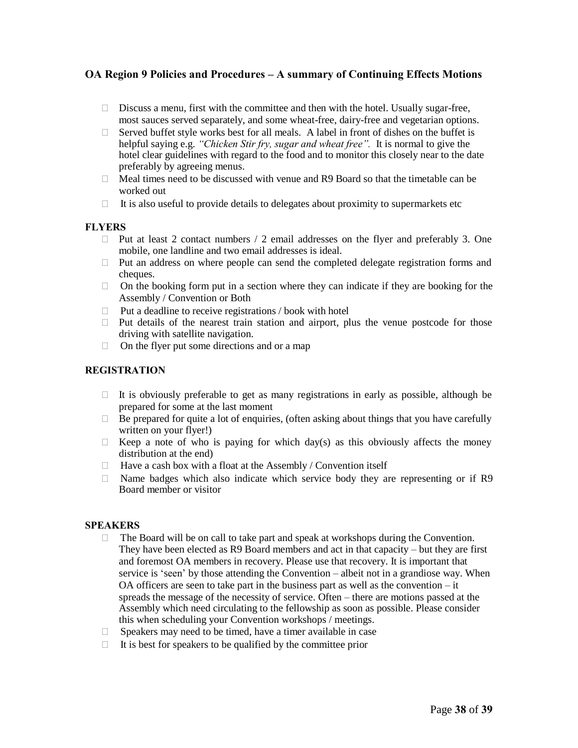- $\Box$  Discuss a menu, first with the committee and then with the hotel. Usually sugar-free, most sauces served separately, and some wheat-free, dairy-free and vegetarian options.
- $\Box$  Served buffet style works best for all meals. A label in front of dishes on the buffet is helpful saying e.g. *"Chicken Stir fry, sugar and wheat free".* It is normal to give the hotel clear guidelines with regard to the food and to monitor this closely near to the date preferably by agreeing menus.
- $\Box$  Meal times need to be discussed with venue and R9 Board so that the timetable can be worked out
- $\Box$  It is also useful to provide details to delegates about proximity to supermarkets etc

#### **FLYERS**

- $\Box$  Put at least 2 contact numbers / 2 email addresses on the flyer and preferably 3. One mobile, one landline and two email addresses is ideal.
- $\Box$  Put an address on where people can send the completed delegate registration forms and cheques.
- $\Box$  On the booking form put in a section where they can indicate if they are booking for the Assembly / Convention or Both
- $\Box$  Put a deadline to receive registrations / book with hotel
- $\Box$  Put details of the nearest train station and airport, plus the venue postcode for those driving with satellite navigation.
- $\Box$  On the flyer put some directions and or a map

### **REGISTRATION**

- $\Box$  It is obviously preferable to get as many registrations in early as possible, although be prepared for some at the last moment
- $\Box$  Be prepared for quite a lot of enquiries, (often asking about things that you have carefully written on your flyer!)
- $\Box$  Keep a note of who is paying for which day(s) as this obviously affects the money distribution at the end)
- $\Box$  Have a cash box with a float at the Assembly / Convention itself
- $\Box$  Name badges which also indicate which service body they are representing or if R9 Board member or visitor

#### **SPEAKERS**

- $\Box$  The Board will be on call to take part and speak at workshops during the Convention. They have been elected as R9 Board members and act in that capacity – but they are first and foremost OA members in recovery. Please use that recovery. It is important that service is 'seen' by those attending the Convention – albeit not in a grandiose way. When OA officers are seen to take part in the business part as well as the convention – it spreads the message of the necessity of service. Often – there are motions passed at the Assembly which need circulating to the fellowship as soon as possible. Please consider this when scheduling your Convention workshops / meetings.
- $\Box$  Speakers may need to be timed, have a timer available in case
- $\Box$  It is best for speakers to be qualified by the committee prior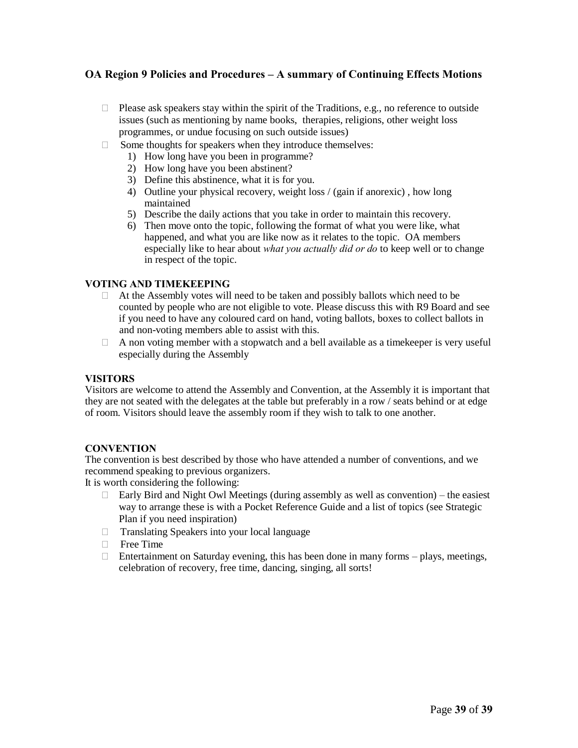- $\Box$  Please ask speakers stay within the spirit of the Traditions, e.g., no reference to outside issues (such as mentioning by name books, therapies, religions, other weight loss programmes, or undue focusing on such outside issues)
- $\Box$  Some thoughts for speakers when they introduce themselves:
	- 1) How long have you been in programme?
	- 2) How long have you been abstinent?
	- 3) Define this abstinence, what it is for you.
	- 4) Outline your physical recovery, weight loss / (gain if anorexic) , how long maintained
	- 5) Describe the daily actions that you take in order to maintain this recovery.
	- 6) Then move onto the topic, following the format of what you were like, what happened, and what you are like now as it relates to the topic. OA members especially like to hear about *what you actually did or do* to keep well or to change in respect of the topic.

#### **VOTING AND TIMEKEEPING**

- $\Box$  At the Assembly votes will need to be taken and possibly ballots which need to be counted by people who are not eligible to vote. Please discuss this with R9 Board and see if you need to have any coloured card on hand, voting ballots, boxes to collect ballots in and non-voting members able to assist with this.
- $\Box$  A non voting member with a stopwatch and a bell available as a timekeeper is very useful especially during the Assembly

#### **VISITORS**

Visitors are welcome to attend the Assembly and Convention, at the Assembly it is important that they are not seated with the delegates at the table but preferably in a row / seats behind or at edge of room. Visitors should leave the assembly room if they wish to talk to one another.

#### **CONVENTION**

The convention is best described by those who have attended a number of conventions, and we recommend speaking to previous organizers.

It is worth considering the following:

- $\Box$  Early Bird and Night Owl Meetings (during assembly as well as convention) the easiest way to arrange these is with a Pocket Reference Guide and a list of topics (see Strategic Plan if you need inspiration)
- Translating Speakers into your local language
- **Free Time**
- $\Box$  Entertainment on Saturday evening, this has been done in many forms plays, meetings, celebration of recovery, free time, dancing, singing, all sorts!